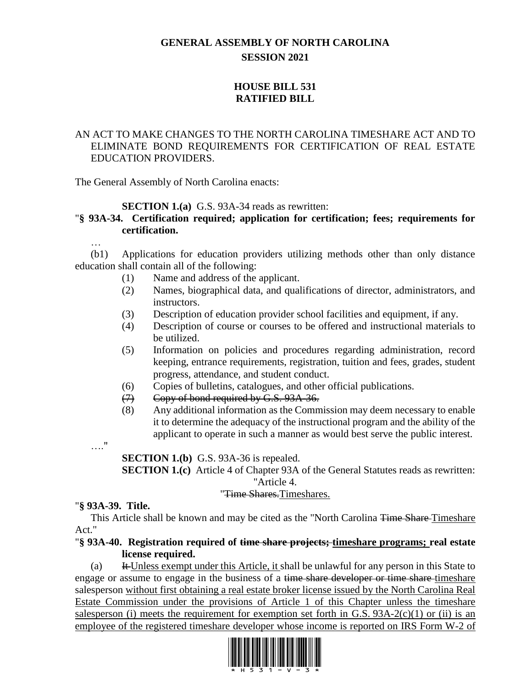# **GENERAL ASSEMBLY OF NORTH CAROLINA SESSION 2021**

# **HOUSE BILL 531 RATIFIED BILL**

# AN ACT TO MAKE CHANGES TO THE NORTH CAROLINA TIMESHARE ACT AND TO ELIMINATE BOND REQUIREMENTS FOR CERTIFICATION OF REAL ESTATE EDUCATION PROVIDERS.

The General Assembly of North Carolina enacts:

# **SECTION 1.(a)** G.S. 93A-34 reads as rewritten:

# "**§ 93A-34. Certification required; application for certification; fees; requirements for certification.**

(b1) Applications for education providers utilizing methods other than only distance education shall contain all of the following:

- (1) Name and address of the applicant.
- (2) Names, biographical data, and qualifications of director, administrators, and instructors.
- (3) Description of education provider school facilities and equipment, if any.
- (4) Description of course or courses to be offered and instructional materials to be utilized.
- (5) Information on policies and procedures regarding administration, record keeping, entrance requirements, registration, tuition and fees, grades, student progress, attendance, and student conduct.
- (6) Copies of bulletins, catalogues, and other official publications.
- (7) Copy of bond required by G.S. 93A-36.
- (8) Any additional information as the Commission may deem necessary to enable it to determine the adequacy of the instructional program and the ability of the applicant to operate in such a manner as would best serve the public interest.
- …."

…

**SECTION 1.(b)** G.S. 93A-36 is repealed.

**SECTION 1.(c)** Article 4 of Chapter 93A of the General Statutes reads as rewritten: "Article 4.

## "Time Shares.Timeshares.

## "**§ 93A-39. Title.**

This Article shall be known and may be cited as the "North Carolina <del>Time Share</del>-Timeshare Act."

## "**§ 93A-40. Registration required of time share projects; timeshare programs; real estate license required.**

(a) It Unless exempt under this Article, it shall be unlawful for any person in this State to engage or assume to engage in the business of a time share developer or time share timeshare salesperson without first obtaining a real estate broker license issued by the North Carolina Real Estate Commission under the provisions of Article 1 of this Chapter unless the timeshare salesperson (i) meets the requirement for exemption set forth in G.S.  $93A-2(c)(1)$  or (ii) is an employee of the registered timeshare developer whose income is reported on IRS Form W-2 of

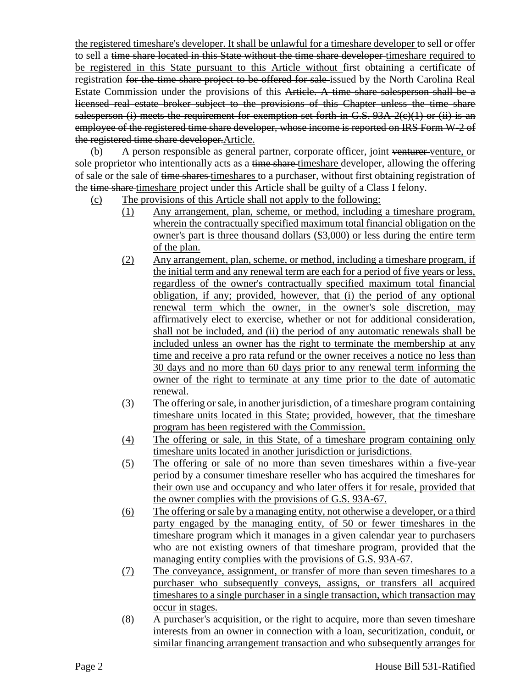the registered timeshare's developer. It shall be unlawful for a timeshare developer to sell or offer to sell a time share located in this State without the time share developer timeshare required to be registered in this State pursuant to this Article without first obtaining a certificate of registration for the time share project to be offered for sale issued by the North Carolina Real Estate Commission under the provisions of this Article. A time share salesperson shall be a licensed real estate broker subject to the provisions of this Chapter unless the time share salesperson (i) meets the requirement for exemption set forth in G.S.  $93A-2(c)(1)$  or (ii) is an employee of the registered time share developer, whose income is reported on IRS Form W-2 of the registered time share developer.Article.

(b) A person responsible as general partner, corporate officer, joint venturer venture, or sole proprietor who intentionally acts as a time share timeshare developer, allowing the offering of sale or the sale of time shares timeshares to a purchaser, without first obtaining registration of the time share timeshare project under this Article shall be guilty of a Class I felony.

- (c) The provisions of this Article shall not apply to the following:
	- (1) Any arrangement, plan, scheme, or method, including a timeshare program, wherein the contractually specified maximum total financial obligation on the owner's part is three thousand dollars (\$3,000) or less during the entire term of the plan.
	- (2) Any arrangement, plan, scheme, or method, including a timeshare program, if the initial term and any renewal term are each for a period of five years or less, regardless of the owner's contractually specified maximum total financial obligation, if any; provided, however, that (i) the period of any optional renewal term which the owner, in the owner's sole discretion, may affirmatively elect to exercise, whether or not for additional consideration, shall not be included, and (ii) the period of any automatic renewals shall be included unless an owner has the right to terminate the membership at any time and receive a pro rata refund or the owner receives a notice no less than 30 days and no more than 60 days prior to any renewal term informing the owner of the right to terminate at any time prior to the date of automatic renewal.
	- (3) The offering or sale, in another jurisdiction, of a timeshare program containing timeshare units located in this State; provided, however, that the timeshare program has been registered with the Commission.
	- (4) The offering or sale, in this State, of a timeshare program containing only timeshare units located in another jurisdiction or jurisdictions.
	- (5) The offering or sale of no more than seven timeshares within a five-year period by a consumer timeshare reseller who has acquired the timeshares for their own use and occupancy and who later offers it for resale, provided that the owner complies with the provisions of G.S. 93A-67.
	- (6) The offering or sale by a managing entity, not otherwise a developer, or a third party engaged by the managing entity, of 50 or fewer timeshares in the timeshare program which it manages in a given calendar year to purchasers who are not existing owners of that timeshare program, provided that the managing entity complies with the provisions of G.S. 93A-67.
	- (7) The conveyance, assignment, or transfer of more than seven timeshares to a purchaser who subsequently conveys, assigns, or transfers all acquired timeshares to a single purchaser in a single transaction, which transaction may occur in stages.
	- (8) A purchaser's acquisition, or the right to acquire, more than seven timeshare interests from an owner in connection with a loan, securitization, conduit, or similar financing arrangement transaction and who subsequently arranges for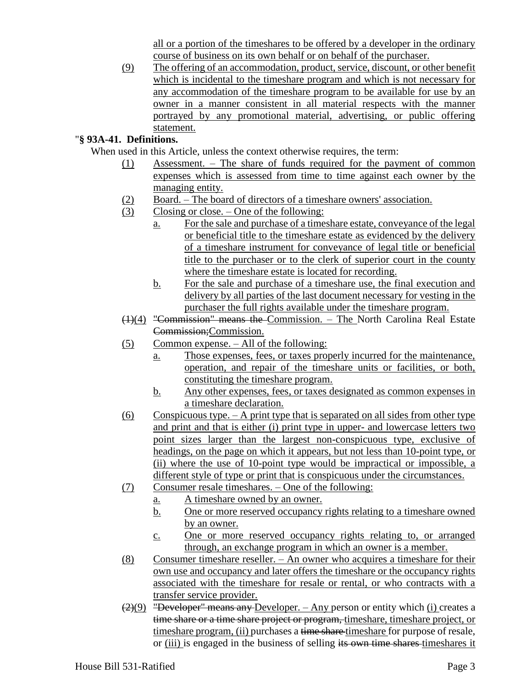all or a portion of the timeshares to be offered by a developer in the ordinary course of business on its own behalf or on behalf of the purchaser.

(9) The offering of an accommodation, product, service, discount, or other benefit which is incidental to the timeshare program and which is not necessary for any accommodation of the timeshare program to be available for use by an owner in a manner consistent in all material respects with the manner portrayed by any promotional material, advertising, or public offering statement.

# "**§ 93A-41. Definitions.**

When used in this Article, unless the context otherwise requires, the term:

- (1) Assessment. The share of funds required for the payment of common expenses which is assessed from time to time against each owner by the managing entity.
- (2) Board. The board of directors of a timeshare owners' association.
- (3) Closing or close. One of the following:
	- a. For the sale and purchase of a timeshare estate, conveyance of the legal or beneficial title to the timeshare estate as evidenced by the delivery of a timeshare instrument for conveyance of legal title or beneficial title to the purchaser or to the clerk of superior court in the county where the timeshare estate is located for recording.
	- b. For the sale and purchase of a timeshare use, the final execution and delivery by all parties of the last document necessary for vesting in the purchaser the full rights available under the timeshare program.
- (1)(4) "Commission" means the Commission. The North Carolina Real Estate Commission;Commission.
- (5) Common expense. All of the following:
	- a. Those expenses, fees, or taxes properly incurred for the maintenance, operation, and repair of the timeshare units or facilities, or both, constituting the timeshare program.
	- b. Any other expenses, fees, or taxes designated as common expenses in a timeshare declaration.
- $(6)$  Conspicuous type. A print type that is separated on all sides from other type and print and that is either (i) print type in upper- and lowercase letters two point sizes larger than the largest non-conspicuous type, exclusive of headings, on the page on which it appears, but not less than 10-point type, or (ii) where the use of 10-point type would be impractical or impossible, a different style of type or print that is conspicuous under the circumstances.
- (7) Consumer resale timeshares. One of the following:
	- a. A timeshare owned by an owner.
		- b. One or more reserved occupancy rights relating to a timeshare owned by an owner.
		- c. One or more reserved occupancy rights relating to, or arranged through, an exchange program in which an owner is a member.
- (8) Consumer timeshare reseller. An owner who acquires a timeshare for their own use and occupancy and later offers the timeshare or the occupancy rights associated with the timeshare for resale or rental, or who contracts with a transfer service provider.
- $(2)(9)$  "Developer" means any Developer. Any person or entity which (i) creates a time share or a time share project or program, timeshare, timeshare project, or timeshare program, (ii) purchases a time share timeshare for purpose of resale, or (iii) is engaged in the business of selling its own time shares timeshares it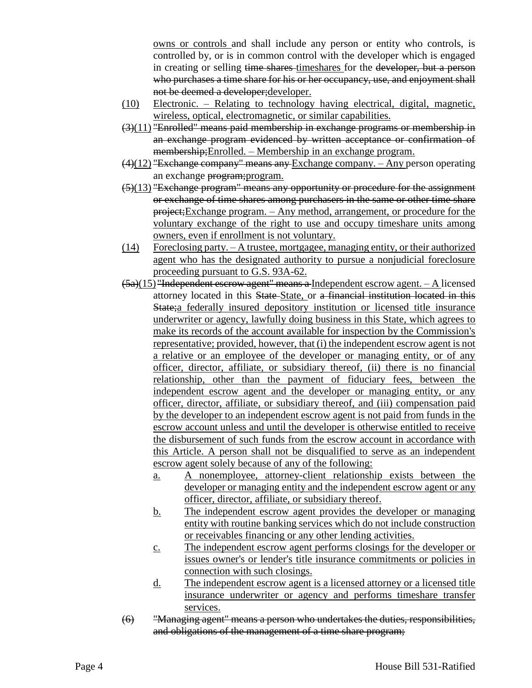owns or controls and shall include any person or entity who controls, is controlled by, or is in common control with the developer which is engaged in creating or selling time shares timeshares for the developer, but a person who purchases a time share for his or her occupancy, use, and enjoyment shall not be deemed a developer;developer.

- (10) Electronic. Relating to technology having electrical, digital, magnetic, wireless, optical, electromagnetic, or similar capabilities.
- $(3)(11)$  "Enrolled" means paid membership in exchange programs or membership in an exchange program evidenced by written acceptance or confirmation of membership;Enrolled. – Membership in an exchange program.
- $(4)(12)$  "Exchange company" means any Exchange company. Any person operating an exchange program;program.
- $(5)(13)$  "Exchange program" means any opportunity or procedure for the assignment or exchange of time shares among purchasers in the same or other time share project;Exchange program. – Any method, arrangement, or procedure for the voluntary exchange of the right to use and occupy timeshare units among owners, even if enrollment is not voluntary.
- (14) Foreclosing party. A trustee, mortgagee, managing entity, or their authorized agent who has the designated authority to pursue a nonjudicial foreclosure proceeding pursuant to G.S. 93A-62.
- (5a)(15) "Independent escrow agent" means a Independent escrow agent. A licensed attorney located in this State State, or a financial institution located in this State;a federally insured depository institution or licensed title insurance underwriter or agency, lawfully doing business in this State, which agrees to make its records of the account available for inspection by the Commission's representative; provided, however, that (i) the independent escrow agent is not a relative or an employee of the developer or managing entity, or of any officer, director, affiliate, or subsidiary thereof, (ii) there is no financial relationship, other than the payment of fiduciary fees, between the independent escrow agent and the developer or managing entity, or any officer, director, affiliate, or subsidiary thereof, and (iii) compensation paid by the developer to an independent escrow agent is not paid from funds in the escrow account unless and until the developer is otherwise entitled to receive the disbursement of such funds from the escrow account in accordance with this Article. A person shall not be disqualified to serve as an independent escrow agent solely because of any of the following:
	- a. A nonemployee, attorney-client relationship exists between the developer or managing entity and the independent escrow agent or any officer, director, affiliate, or subsidiary thereof.
	- b. The independent escrow agent provides the developer or managing entity with routine banking services which do not include construction or receivables financing or any other lending activities.
	- c. The independent escrow agent performs closings for the developer or issues owner's or lender's title insurance commitments or policies in connection with such closings.
	- d. The independent escrow agent is a licensed attorney or a licensed title insurance underwriter or agency and performs timeshare transfer services.
- (6) "Managing agent" means a person who undertakes the duties, responsibilities, and obligations of the management of a time share program;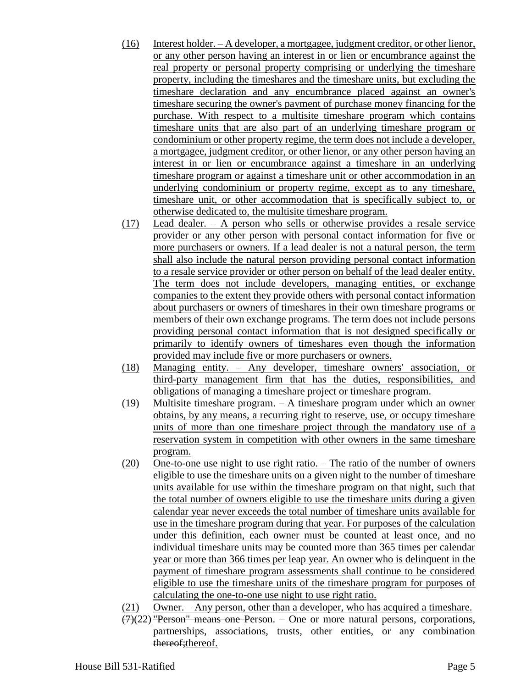- (16) Interest holder. A developer, a mortgagee, judgment creditor, or other lienor, or any other person having an interest in or lien or encumbrance against the real property or personal property comprising or underlying the timeshare property, including the timeshares and the timeshare units, but excluding the timeshare declaration and any encumbrance placed against an owner's timeshare securing the owner's payment of purchase money financing for the purchase. With respect to a multisite timeshare program which contains timeshare units that are also part of an underlying timeshare program or condominium or other property regime, the term does not include a developer, a mortgagee, judgment creditor, or other lienor, or any other person having an interest in or lien or encumbrance against a timeshare in an underlying timeshare program or against a timeshare unit or other accommodation in an underlying condominium or property regime, except as to any timeshare, timeshare unit, or other accommodation that is specifically subject to, or otherwise dedicated to, the multisite timeshare program.
- (17) Lead dealer. A person who sells or otherwise provides a resale service provider or any other person with personal contact information for five or more purchasers or owners. If a lead dealer is not a natural person, the term shall also include the natural person providing personal contact information to a resale service provider or other person on behalf of the lead dealer entity. The term does not include developers, managing entities, or exchange companies to the extent they provide others with personal contact information about purchasers or owners of timeshares in their own timeshare programs or members of their own exchange programs. The term does not include persons providing personal contact information that is not designed specifically or primarily to identify owners of timeshares even though the information provided may include five or more purchasers or owners.
- (18) Managing entity. Any developer, timeshare owners' association, or third-party management firm that has the duties, responsibilities, and obligations of managing a timeshare project or timeshare program.
- (19) Multisite timeshare program. A timeshare program under which an owner obtains, by any means, a recurring right to reserve, use, or occupy timeshare units of more than one timeshare project through the mandatory use of a reservation system in competition with other owners in the same timeshare program.
- (20) One-to-one use night to use right ratio. The ratio of the number of owners eligible to use the timeshare units on a given night to the number of timeshare units available for use within the timeshare program on that night, such that the total number of owners eligible to use the timeshare units during a given calendar year never exceeds the total number of timeshare units available for use in the timeshare program during that year. For purposes of the calculation under this definition, each owner must be counted at least once, and no individual timeshare units may be counted more than 365 times per calendar year or more than 366 times per leap year. An owner who is delinquent in the payment of timeshare program assessments shall continue to be considered eligible to use the timeshare units of the timeshare program for purposes of calculating the one-to-one use night to use right ratio.
- (21) Owner. Any person, other than a developer, who has acquired a timeshare.
- $(7)(22)$  "Person" means one Person. One or more natural persons, corporations, partnerships, associations, trusts, other entities, or any combination thereof; thereof.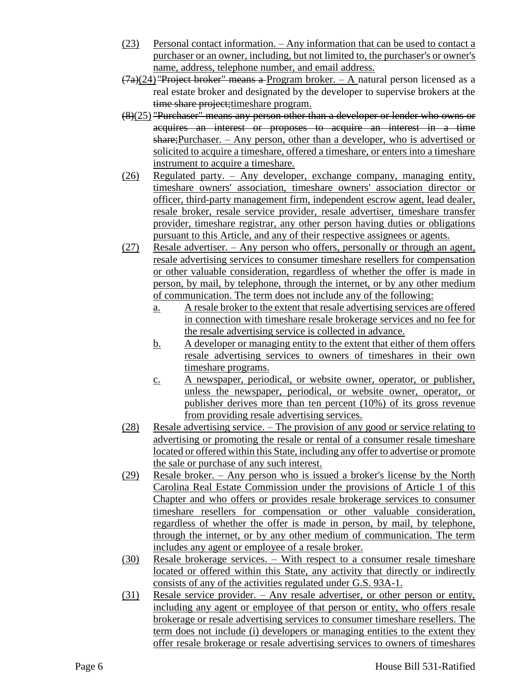- (23) Personal contact information. Any information that can be used to contact a purchaser or an owner, including, but not limited to, the purchaser's or owner's name, address, telephone number, and email address.
- $(7a)(24)$  "Project broker" means a Program broker. A natural person licensed as a real estate broker and designated by the developer to supervise brokers at the time share project; timeshare program.
- (8)(25) "Purchaser" means any person other than a developer or lender who owns or acquires an interest or proposes to acquire an interest in a time share;Purchaser. – Any person, other than a developer, who is advertised or solicited to acquire a timeshare, offered a timeshare, or enters into a timeshare instrument to acquire a timeshare.
- (26) Regulated party. Any developer, exchange company, managing entity, timeshare owners' association, timeshare owners' association director or officer, third-party management firm, independent escrow agent, lead dealer, resale broker, resale service provider, resale advertiser, timeshare transfer provider, timeshare registrar, any other person having duties or obligations pursuant to this Article, and any of their respective assignees or agents.
- (27) Resale advertiser. Any person who offers, personally or through an agent, resale advertising services to consumer timeshare resellers for compensation or other valuable consideration, regardless of whether the offer is made in person, by mail, by telephone, through the internet, or by any other medium of communication. The term does not include any of the following:
	- a. A resale broker to the extent that resale advertising services are offered in connection with timeshare resale brokerage services and no fee for the resale advertising service is collected in advance.
	- b. A developer or managing entity to the extent that either of them offers resale advertising services to owners of timeshares in their own timeshare programs.
	- c. A newspaper, periodical, or website owner, operator, or publisher, unless the newspaper, periodical, or website owner, operator, or publisher derives more than ten percent (10%) of its gross revenue from providing resale advertising services.
- (28) Resale advertising service. The provision of any good or service relating to advertising or promoting the resale or rental of a consumer resale timeshare located or offered within this State, including any offer to advertise or promote the sale or purchase of any such interest.
- (29) Resale broker. Any person who is issued a broker's license by the North Carolina Real Estate Commission under the provisions of Article 1 of this Chapter and who offers or provides resale brokerage services to consumer timeshare resellers for compensation or other valuable consideration, regardless of whether the offer is made in person, by mail, by telephone, through the internet, or by any other medium of communication. The term includes any agent or employee of a resale broker.
- (30) Resale brokerage services. With respect to a consumer resale timeshare located or offered within this State, any activity that directly or indirectly consists of any of the activities regulated under G.S. 93A-1.
- (31) Resale service provider. Any resale advertiser, or other person or entity, including any agent or employee of that person or entity, who offers resale brokerage or resale advertising services to consumer timeshare resellers. The term does not include (i) developers or managing entities to the extent they offer resale brokerage or resale advertising services to owners of timeshares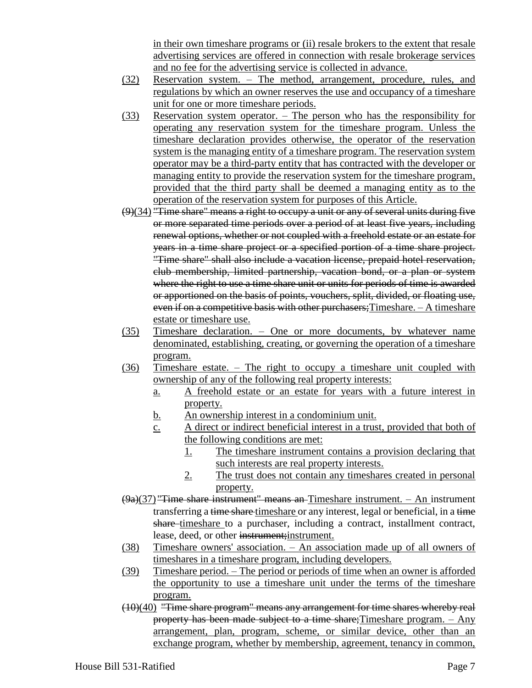in their own timeshare programs or (ii) resale brokers to the extent that resale advertising services are offered in connection with resale brokerage services and no fee for the advertising service is collected in advance.

- (32) Reservation system. The method, arrangement, procedure, rules, and regulations by which an owner reserves the use and occupancy of a timeshare unit for one or more timeshare periods.
- (33) Reservation system operator. The person who has the responsibility for operating any reservation system for the timeshare program. Unless the timeshare declaration provides otherwise, the operator of the reservation system is the managing entity of a timeshare program. The reservation system operator may be a third-party entity that has contracted with the developer or managing entity to provide the reservation system for the timeshare program, provided that the third party shall be deemed a managing entity as to the operation of the reservation system for purposes of this Article.
- $(9)(34)$  "Time share" means a right to occupy a unit or any of several units during five or more separated time periods over a period of at least five years, including renewal options, whether or not coupled with a freehold estate or an estate for years in a time share project or a specified portion of a time share project. "Time share" shall also include a vacation license, prepaid hotel reservation, club membership, limited partnership, vacation bond, or a plan or system where the right to use a time share unit or units for periods of time is awarded or apportioned on the basis of points, vouchers, split, divided, or floating use, even if on a competitive basis with other purchasers; Timeshare. - A timeshare estate or timeshare use.
- (35) Timeshare declaration. One or more documents, by whatever name denominated, establishing, creating, or governing the operation of a timeshare program.
- (36) Timeshare estate. The right to occupy a timeshare unit coupled with ownership of any of the following real property interests:
	- a. A freehold estate or an estate for years with a future interest in property.
	- b. An ownership interest in a condominium unit.
	- c. A direct or indirect beneficial interest in a trust, provided that both of the following conditions are met:
		- 1. The timeshare instrument contains a provision declaring that such interests are real property interests.
		- 2. The trust does not contain any timeshares created in personal property.
- $(9a)(37)$  "Time share instrument" means an-Timeshare instrument. An instrument transferring a time share timeshare or any interest, legal or beneficial, in a time share-timeshare to a purchaser, including a contract, installment contract, lease, deed, or other instrument; instrument.
- (38) Timeshare owners' association. An association made up of all owners of timeshares in a timeshare program, including developers.
- (39) Timeshare period. The period or periods of time when an owner is afforded the opportunity to use a timeshare unit under the terms of the timeshare program.
- (10)(40) "Time share program" means any arrangement for time shares whereby real property has been made subject to a time share;Timeshare program. – Any arrangement, plan, program, scheme, or similar device, other than an exchange program, whether by membership, agreement, tenancy in common,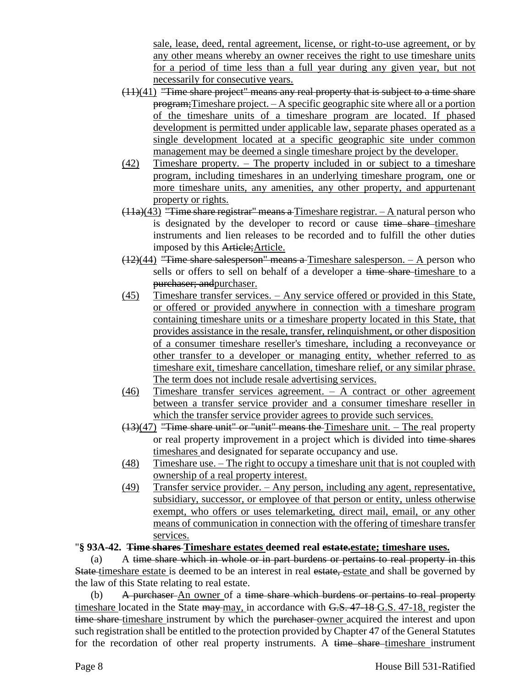sale, lease, deed, rental agreement, license, or right-to-use agreement, or by any other means whereby an owner receives the right to use timeshare units for a period of time less than a full year during any given year, but not necessarily for consecutive years.

- (11)(41) "Time share project" means any real property that is subject to a time share program;Timeshare project. – A specific geographic site where all or a portion of the timeshare units of a timeshare program are located. If phased development is permitted under applicable law, separate phases operated as a single development located at a specific geographic site under common management may be deemed a single timeshare project by the developer.
- (42) Timeshare property. The property included in or subject to a timeshare program, including timeshares in an underlying timeshare program, one or more timeshare units, any amenities, any other property, and appurtenant property or rights.
- $(11a)(43)$  "Time share registrar" means a Timeshare registrar.  $-$  A natural person who is designated by the developer to record or cause time share timeshare instruments and lien releases to be recorded and to fulfill the other duties imposed by this Article;Article.
- (12)(44) "Time share salesperson" means a Timeshare salesperson. A person who sells or offers to sell on behalf of a developer a time share-timeshare to a purchaser; andpurchaser.
- (45) Timeshare transfer services. Any service offered or provided in this State, or offered or provided anywhere in connection with a timeshare program containing timeshare units or a timeshare property located in this State, that provides assistance in the resale, transfer, relinquishment, or other disposition of a consumer timeshare reseller's timeshare, including a reconveyance or other transfer to a developer or managing entity, whether referred to as timeshare exit, timeshare cancellation, timeshare relief, or any similar phrase. The term does not include resale advertising services.
- (46) Timeshare transfer services agreement. A contract or other agreement between a transfer service provider and a consumer timeshare reseller in which the transfer service provider agrees to provide such services.
- (13)(47) "Time share unit" or "unit" means the Timeshare unit. The real property or real property improvement in a project which is divided into time shares timeshares and designated for separate occupancy and use.
- (48) Timeshare use. The right to occupy a timeshare unit that is not coupled with ownership of a real property interest.
- (49) Transfer service provider. Any person, including any agent, representative, subsidiary, successor, or employee of that person or entity, unless otherwise exempt, who offers or uses telemarketing, direct mail, email, or any other means of communication in connection with the offering of timeshare transfer services.

# "**§ 93A-42. Time shares Timeshare estates deemed real estate.estate; timeshare uses.**

(a) A time share which in whole or in part burdens or pertains to real property in this State timeshare estate is deemed to be an interest in real estate, estate and shall be governed by the law of this State relating to real estate.

(b) A purchaser An owner of a time share which burdens or pertains to real property timeshare located in the State may may, in accordance with G.S. 47-18 G.S. 47-18, register the time share timeshare instrument by which the purchaser owner acquired the interest and upon such registration shall be entitled to the protection provided by Chapter 47 of the General Statutes for the recordation of other real property instruments. A time share-timeshare instrument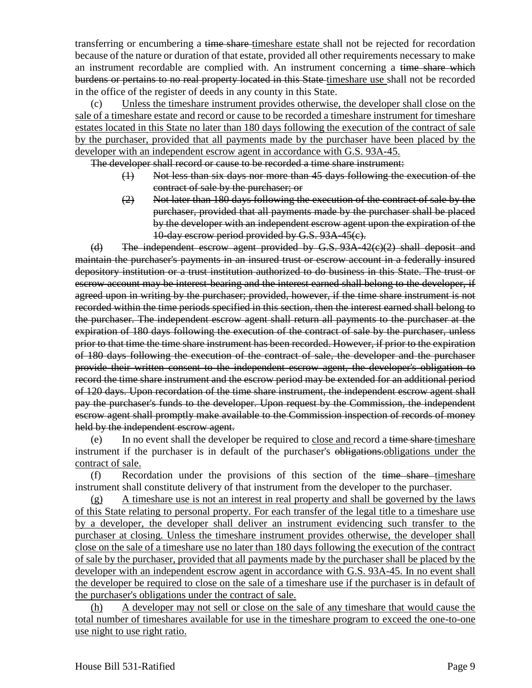transferring or encumbering a time share-timeshare estate shall not be rejected for recordation because of the nature or duration of that estate, provided all other requirements necessary to make an instrument recordable are complied with. An instrument concerning a time share which burdens or pertains to no real property located in this State-timeshare use shall not be recorded in the office of the register of deeds in any county in this State.

(c) Unless the timeshare instrument provides otherwise, the developer shall close on the sale of a timeshare estate and record or cause to be recorded a timeshare instrument for timeshare estates located in this State no later than 180 days following the execution of the contract of sale by the purchaser, provided that all payments made by the purchaser have been placed by the developer with an independent escrow agent in accordance with G.S. 93A-45.

The developer shall record or cause to be recorded a time share instrument:

- (1) Not less than six days nor more than 45 days following the execution of the contract of sale by the purchaser; or
- (2) Not later than 180 days following the execution of the contract of sale by the purchaser, provided that all payments made by the purchaser shall be placed by the developer with an independent escrow agent upon the expiration of the 10-day escrow period provided by G.S. 93A-45(c).

(d) The independent escrow agent provided by G.S. 93A-42(c)(2) shall deposit and maintain the purchaser's payments in an insured trust or escrow account in a federally insured depository institution or a trust institution authorized to do business in this State. The trust or escrow account may be interest-bearing and the interest earned shall belong to the developer, if agreed upon in writing by the purchaser; provided, however, if the time share instrument is not recorded within the time periods specified in this section, then the interest earned shall belong to the purchaser. The independent escrow agent shall return all payments to the purchaser at the expiration of 180 days following the execution of the contract of sale by the purchaser, unless prior to that time the time share instrument has been recorded. However, if prior to the expiration of 180 days following the execution of the contract of sale, the developer and the purchaser provide their written consent to the independent escrow agent, the developer's obligation to record the time share instrument and the escrow period may be extended for an additional period of 120 days. Upon recordation of the time share instrument, the independent escrow agent shall pay the purchaser's funds to the developer. Upon request by the Commission, the independent escrow agent shall promptly make available to the Commission inspection of records of money held by the independent escrow agent.

(e) In no event shall the developer be required to close and record a time share timeshare instrument if the purchaser is in default of the purchaser's obligations. Obligations under the contract of sale.

 $(f)$  Recordation under the provisions of this section of the time share timeshare instrument shall constitute delivery of that instrument from the developer to the purchaser.

(g) A timeshare use is not an interest in real property and shall be governed by the laws of this State relating to personal property. For each transfer of the legal title to a timeshare use by a developer, the developer shall deliver an instrument evidencing such transfer to the purchaser at closing. Unless the timeshare instrument provides otherwise, the developer shall close on the sale of a timeshare use no later than 180 days following the execution of the contract of sale by the purchaser, provided that all payments made by the purchaser shall be placed by the developer with an independent escrow agent in accordance with G.S. 93A-45. In no event shall the developer be required to close on the sale of a timeshare use if the purchaser is in default of the purchaser's obligations under the contract of sale.

(h) A developer may not sell or close on the sale of any timeshare that would cause the total number of timeshares available for use in the timeshare program to exceed the one-to-one use night to use right ratio.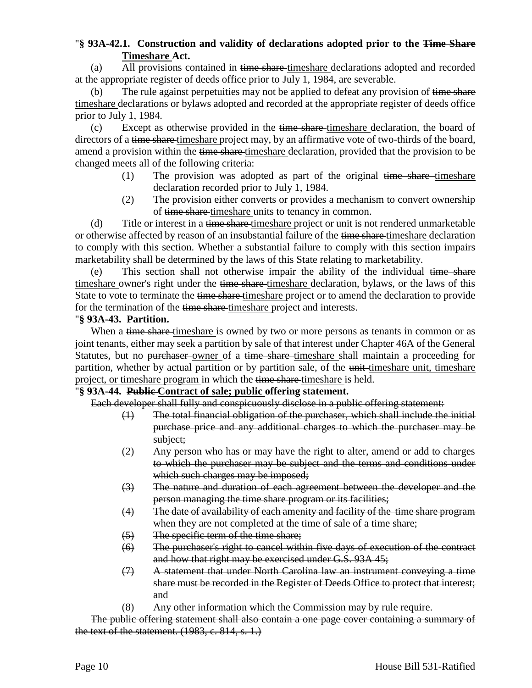# "**§ 93A-42.1. Construction and validity of declarations adopted prior to the Time Share Timeshare Act.**

(a) All provisions contained in time share-timeshare declarations adopted and recorded at the appropriate register of deeds office prior to July 1, 1984, are severable.

(b) The rule against perpetuities may not be applied to defeat any provision of time share timeshare declarations or bylaws adopted and recorded at the appropriate register of deeds office prior to July 1, 1984.

(c) Except as otherwise provided in the time share-timeshare declaration, the board of directors of a time share timeshare project may, by an affirmative vote of two-thirds of the board, amend a provision within the time share timeshare declaration, provided that the provision to be changed meets all of the following criteria:

- (1) The provision was adopted as part of the original  $time share-time share$ declaration recorded prior to July 1, 1984.
- (2) The provision either converts or provides a mechanism to convert ownership of time share timeshare units to tenancy in common.

(d) Title or interest in a time share-timeshare project or unit is not rendered unmarketable or otherwise affected by reason of an insubstantial failure of the time share-timeshare declaration to comply with this section. Whether a substantial failure to comply with this section impairs marketability shall be determined by the laws of this State relating to marketability.

(e) This section shall not otherwise impair the ability of the individual time share timeshare owner's right under the time share-timeshare declaration, bylaws, or the laws of this State to vote to terminate the time share-timeshare project or to amend the declaration to provide for the termination of the time share timeshare project and interests.

## "**§ 93A-43. Partition.**

When a time share-timeshare is owned by two or more persons as tenants in common or as joint tenants, either may seek a partition by sale of that interest under Chapter 46A of the General Statutes, but no purchaser owner of a time share timeshare shall maintain a proceeding for partition, whether by actual partition or by partition sale, of the unit-timeshare unit, timeshare project, or timeshare program in which the time share timeshare is held.

## "**§ 93A-44. Public Contract of sale; public offering statement.**

Each developer shall fully and conspicuously disclose in a public offering statement:

- (1) The total financial obligation of the purchaser, which shall include the initial purchase price and any additional charges to which the purchaser may be subject;
- $(2)$  Any person who has or may have the right to alter, amend or add to charges to which the purchaser may be subject and the terms and conditions under which such charges may be imposed;
- (3) The nature and duration of each agreement between the developer and the person managing the time share program or its facilities;
- (4) The date of availability of each amenity and facility of the time share program when they are not completed at the time of sale of a time share;
- (5) The specific term of the time share;
- (6) The purchaser's right to cancel within five days of execution of the contract and how that right may be exercised under G.S. 93A 45;
- (7) A statement that under North Carolina law an instrument conveying a time share must be recorded in the Register of Deeds Office to protect that interest; and
- (8) Any other information which the Commission may by rule require.

The public offering statement shall also contain a one page cover containing a summary of the text of the statement.  $(1983, c. 814, s. 1.)$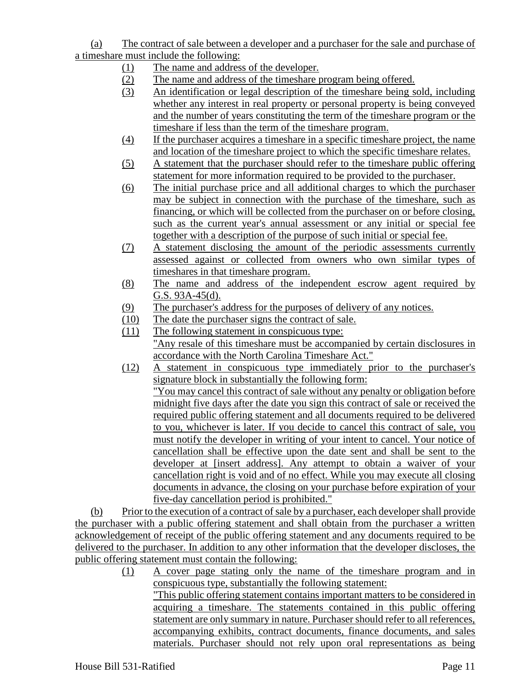(a) The contract of sale between a developer and a purchaser for the sale and purchase of a timeshare must include the following:

- (1) The name and address of the developer.
- (2) The name and address of the timeshare program being offered.
- (3) An identification or legal description of the timeshare being sold, including whether any interest in real property or personal property is being conveyed and the number of years constituting the term of the timeshare program or the timeshare if less than the term of the timeshare program.
- (4) If the purchaser acquires a timeshare in a specific timeshare project, the name and location of the timeshare project to which the specific timeshare relates.
- (5) A statement that the purchaser should refer to the timeshare public offering statement for more information required to be provided to the purchaser.
- (6) The initial purchase price and all additional charges to which the purchaser may be subject in connection with the purchase of the timeshare, such as financing, or which will be collected from the purchaser on or before closing, such as the current year's annual assessment or any initial or special fee together with a description of the purpose of such initial or special fee.
- (7) A statement disclosing the amount of the periodic assessments currently assessed against or collected from owners who own similar types of timeshares in that timeshare program.
- (8) The name and address of the independent escrow agent required by G.S. 93A-45(d).
- (9) The purchaser's address for the purposes of delivery of any notices.
- (10) The date the purchaser signs the contract of sale.
- (11) The following statement in conspicuous type: "Any resale of this timeshare must be accompanied by certain disclosures in accordance with the North Carolina Timeshare Act."
- (12) A statement in conspicuous type immediately prior to the purchaser's signature block in substantially the following form: "You may cancel this contract of sale without any penalty or obligation before midnight five days after the date you sign this contract of sale or received the required public offering statement and all documents required to be delivered to you, whichever is later. If you decide to cancel this contract of sale, you must notify the developer in writing of your intent to cancel. Your notice of cancellation shall be effective upon the date sent and shall be sent to the developer at [insert address]. Any attempt to obtain a waiver of your cancellation right is void and of no effect. While you may execute all closing documents in advance, the closing on your purchase before expiration of your five-day cancellation period is prohibited."

(b) Prior to the execution of a contract of sale by a purchaser, each developer shall provide the purchaser with a public offering statement and shall obtain from the purchaser a written acknowledgement of receipt of the public offering statement and any documents required to be delivered to the purchaser. In addition to any other information that the developer discloses, the public offering statement must contain the following:

(1) A cover page stating only the name of the timeshare program and in conspicuous type, substantially the following statement: "This public offering statement contains important matters to be considered in acquiring a timeshare. The statements contained in this public offering statement are only summary in nature. Purchaser should refer to all references, accompanying exhibits, contract documents, finance documents, and sales materials. Purchaser should not rely upon oral representations as being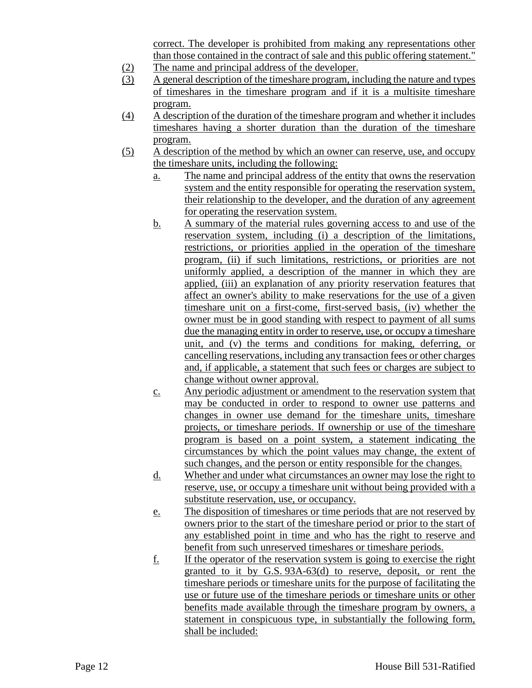correct. The developer is prohibited from making any representations other than those contained in the contract of sale and this public offering statement."

- (2) The name and principal address of the developer.
- (3) A general description of the timeshare program, including the nature and types of timeshares in the timeshare program and if it is a multisite timeshare program.
- (4) A description of the duration of the timeshare program and whether it includes timeshares having a shorter duration than the duration of the timeshare program.
- (5) A description of the method by which an owner can reserve, use, and occupy the timeshare units, including the following:
	- a. The name and principal address of the entity that owns the reservation system and the entity responsible for operating the reservation system, their relationship to the developer, and the duration of any agreement for operating the reservation system.
	- b. A summary of the material rules governing access to and use of the reservation system, including (i) a description of the limitations, restrictions, or priorities applied in the operation of the timeshare program, (ii) if such limitations, restrictions, or priorities are not uniformly applied, a description of the manner in which they are applied, (iii) an explanation of any priority reservation features that affect an owner's ability to make reservations for the use of a given timeshare unit on a first-come, first-served basis, (iv) whether the owner must be in good standing with respect to payment of all sums due the managing entity in order to reserve, use, or occupy a timeshare unit, and (v) the terms and conditions for making, deferring, or cancelling reservations, including any transaction fees or other charges and, if applicable, a statement that such fees or charges are subject to change without owner approval.
	- c. Any periodic adjustment or amendment to the reservation system that may be conducted in order to respond to owner use patterns and changes in owner use demand for the timeshare units, timeshare projects, or timeshare periods. If ownership or use of the timeshare program is based on a point system, a statement indicating the circumstances by which the point values may change, the extent of such changes, and the person or entity responsible for the changes.
	- d. Whether and under what circumstances an owner may lose the right to reserve, use, or occupy a timeshare unit without being provided with a substitute reservation, use, or occupancy.
	- e. The disposition of timeshares or time periods that are not reserved by owners prior to the start of the timeshare period or prior to the start of any established point in time and who has the right to reserve and benefit from such unreserved timeshares or timeshare periods.
	- f. If the operator of the reservation system is going to exercise the right granted to it by G.S. 93A-63(d) to reserve, deposit, or rent the timeshare periods or timeshare units for the purpose of facilitating the use or future use of the timeshare periods or timeshare units or other benefits made available through the timeshare program by owners, a statement in conspicuous type, in substantially the following form, shall be included: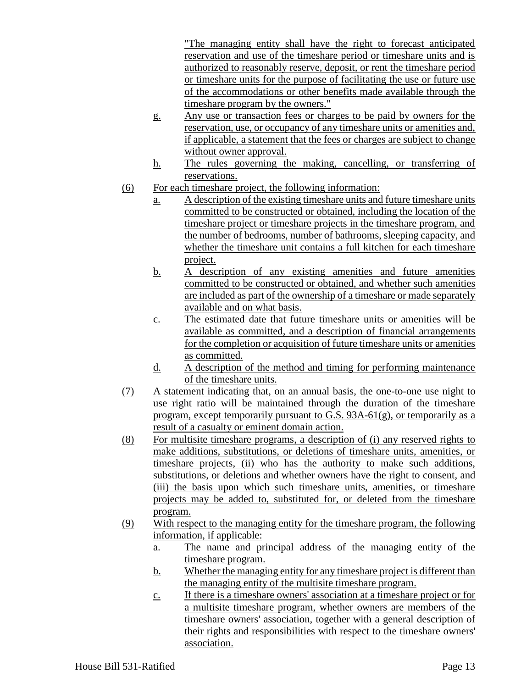"The managing entity shall have the right to forecast anticipated reservation and use of the timeshare period or timeshare units and is authorized to reasonably reserve, deposit, or rent the timeshare period or timeshare units for the purpose of facilitating the use or future use of the accommodations or other benefits made available through the timeshare program by the owners."

- g. Any use or transaction fees or charges to be paid by owners for the reservation, use, or occupancy of any timeshare units or amenities and, if applicable, a statement that the fees or charges are subject to change without owner approval.
- h. The rules governing the making, cancelling, or transferring of reservations.
- (6) For each timeshare project, the following information:
	- a. A description of the existing timeshare units and future timeshare units committed to be constructed or obtained, including the location of the timeshare project or timeshare projects in the timeshare program, and the number of bedrooms, number of bathrooms, sleeping capacity, and whether the timeshare unit contains a full kitchen for each timeshare project.
	- b. A description of any existing amenities and future amenities committed to be constructed or obtained, and whether such amenities are included as part of the ownership of a timeshare or made separately available and on what basis.
	- c. The estimated date that future timeshare units or amenities will be available as committed, and a description of financial arrangements for the completion or acquisition of future timeshare units or amenities as committed.
	- d. A description of the method and timing for performing maintenance of the timeshare units.
- (7) A statement indicating that, on an annual basis, the one-to-one use night to use right ratio will be maintained through the duration of the timeshare program, except temporarily pursuant to G.S. 93A-61(g), or temporarily as a result of a casualty or eminent domain action.
- (8) For multisite timeshare programs, a description of (i) any reserved rights to make additions, substitutions, or deletions of timeshare units, amenities, or timeshare projects, (ii) who has the authority to make such additions, substitutions, or deletions and whether owners have the right to consent, and (iii) the basis upon which such timeshare units, amenities, or timeshare projects may be added to, substituted for, or deleted from the timeshare program.
- (9) With respect to the managing entity for the timeshare program, the following information, if applicable:
	- a. The name and principal address of the managing entity of the timeshare program.
	- b. Whether the managing entity for any timeshare project is different than the managing entity of the multisite timeshare program.
	- c. If there is a timeshare owners' association at a timeshare project or for a multisite timeshare program, whether owners are members of the timeshare owners' association, together with a general description of their rights and responsibilities with respect to the timeshare owners' association.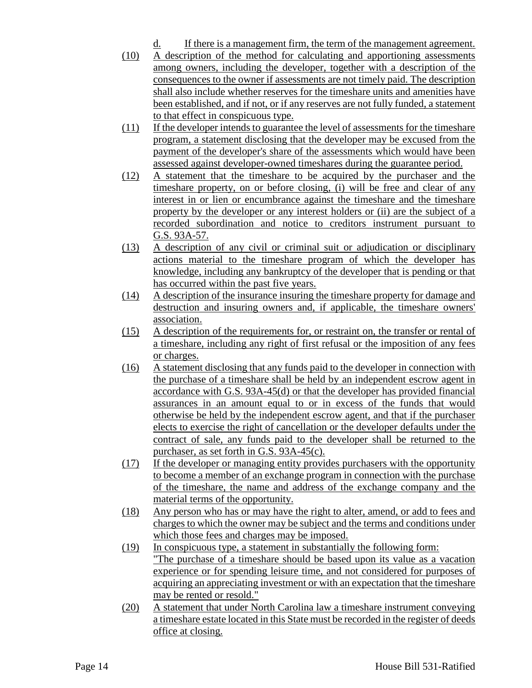- d. If there is a management firm, the term of the management agreement.
- (10) A description of the method for calculating and apportioning assessments among owners, including the developer, together with a description of the consequences to the owner if assessments are not timely paid. The description shall also include whether reserves for the timeshare units and amenities have been established, and if not, or if any reserves are not fully funded, a statement to that effect in conspicuous type.
- (11) If the developer intends to guarantee the level of assessments for the timeshare program, a statement disclosing that the developer may be excused from the payment of the developer's share of the assessments which would have been assessed against developer-owned timeshares during the guarantee period.
- (12) A statement that the timeshare to be acquired by the purchaser and the timeshare property, on or before closing, (i) will be free and clear of any interest in or lien or encumbrance against the timeshare and the timeshare property by the developer or any interest holders or (ii) are the subject of a recorded subordination and notice to creditors instrument pursuant to G.S. 93A-57.
- (13) A description of any civil or criminal suit or adjudication or disciplinary actions material to the timeshare program of which the developer has knowledge, including any bankruptcy of the developer that is pending or that has occurred within the past five years.
- (14) A description of the insurance insuring the timeshare property for damage and destruction and insuring owners and, if applicable, the timeshare owners' association.
- (15) A description of the requirements for, or restraint on, the transfer or rental of a timeshare, including any right of first refusal or the imposition of any fees or charges.
- (16) A statement disclosing that any funds paid to the developer in connection with the purchase of a timeshare shall be held by an independent escrow agent in accordance with G.S. 93A-45(d) or that the developer has provided financial assurances in an amount equal to or in excess of the funds that would otherwise be held by the independent escrow agent, and that if the purchaser elects to exercise the right of cancellation or the developer defaults under the contract of sale, any funds paid to the developer shall be returned to the purchaser, as set forth in G.S. 93A-45(c).
- (17) If the developer or managing entity provides purchasers with the opportunity to become a member of an exchange program in connection with the purchase of the timeshare, the name and address of the exchange company and the material terms of the opportunity.
- (18) Any person who has or may have the right to alter, amend, or add to fees and charges to which the owner may be subject and the terms and conditions under which those fees and charges may be imposed.
- (19) In conspicuous type, a statement in substantially the following form: "The purchase of a timeshare should be based upon its value as a vacation experience or for spending leisure time, and not considered for purposes of acquiring an appreciating investment or with an expectation that the timeshare may be rented or resold."
- (20) A statement that under North Carolina law a timeshare instrument conveying a timeshare estate located in this State must be recorded in the register of deeds office at closing.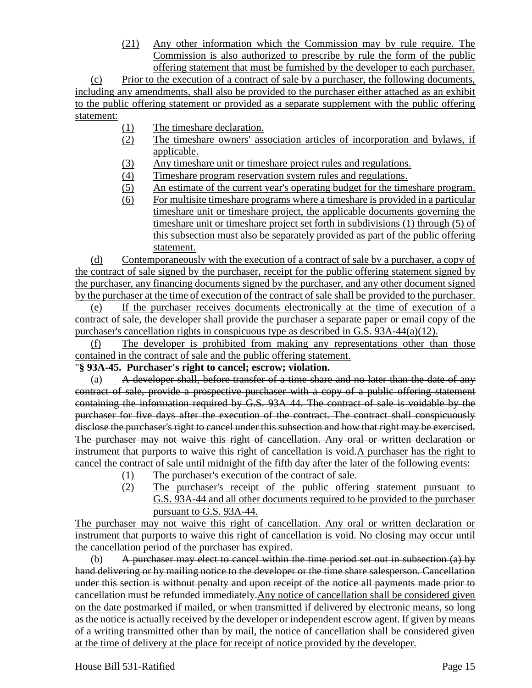(21) Any other information which the Commission may by rule require. The Commission is also authorized to prescribe by rule the form of the public offering statement that must be furnished by the developer to each purchaser.

(c) Prior to the execution of a contract of sale by a purchaser, the following documents, including any amendments, shall also be provided to the purchaser either attached as an exhibit to the public offering statement or provided as a separate supplement with the public offering statement:

- (1) The timeshare declaration.
- (2) The timeshare owners' association articles of incorporation and bylaws, if applicable.
- (3) Any timeshare unit or timeshare project rules and regulations.
- (4) Timeshare program reservation system rules and regulations.
- (5) An estimate of the current year's operating budget for the timeshare program.
- (6) For multisite timeshare programs where a timeshare is provided in a particular timeshare unit or timeshare project, the applicable documents governing the timeshare unit or timeshare project set forth in subdivisions (1) through (5) of this subsection must also be separately provided as part of the public offering statement.

(d) Contemporaneously with the execution of a contract of sale by a purchaser, a copy of the contract of sale signed by the purchaser, receipt for the public offering statement signed by the purchaser, any financing documents signed by the purchaser, and any other document signed by the purchaser at the time of execution of the contract of sale shall be provided to the purchaser.

(e) If the purchaser receives documents electronically at the time of execution of a contract of sale, the developer shall provide the purchaser a separate paper or email copy of the purchaser's cancellation rights in conspicuous type as described in G.S. 93A-44(a)(12).

(f) The developer is prohibited from making any representations other than those contained in the contract of sale and the public offering statement.

## "**§ 93A-45. Purchaser's right to cancel; escrow; violation.**

(a) A developer shall, before transfer of a time share and no later than the date of any contract of sale, provide a prospective purchaser with a copy of a public offering statement containing the information required by G.S. 93A 44. The contract of sale is voidable by the purchaser for five days after the execution of the contract. The contract shall conspicuously disclose the purchaser's right to cancel under this subsection and how that right may be exercised. The purchaser may not waive this right of cancellation. Any oral or written declaration or instrument that purports to waive this right of cancellation is void.A purchaser has the right to cancel the contract of sale until midnight of the fifth day after the later of the following events:

- (1) The purchaser's execution of the contract of sale.
- (2) The purchaser's receipt of the public offering statement pursuant to G.S. 93A-44 and all other documents required to be provided to the purchaser pursuant to G.S. 93A-44.

The purchaser may not waive this right of cancellation. Any oral or written declaration or instrument that purports to waive this right of cancellation is void. No closing may occur until the cancellation period of the purchaser has expired.

(b) A purchaser may elect to cancel within the time period set out in subsection  $(a)$  by hand delivering or by mailing notice to the developer or the time share salesperson. Cancellation under this section is without penalty and upon receipt of the notice all payments made prior to cancellation must be refunded immediately.Any notice of cancellation shall be considered given on the date postmarked if mailed, or when transmitted if delivered by electronic means, so long as the notice is actually received by the developer or independent escrow agent. If given by means of a writing transmitted other than by mail, the notice of cancellation shall be considered given at the time of delivery at the place for receipt of notice provided by the developer.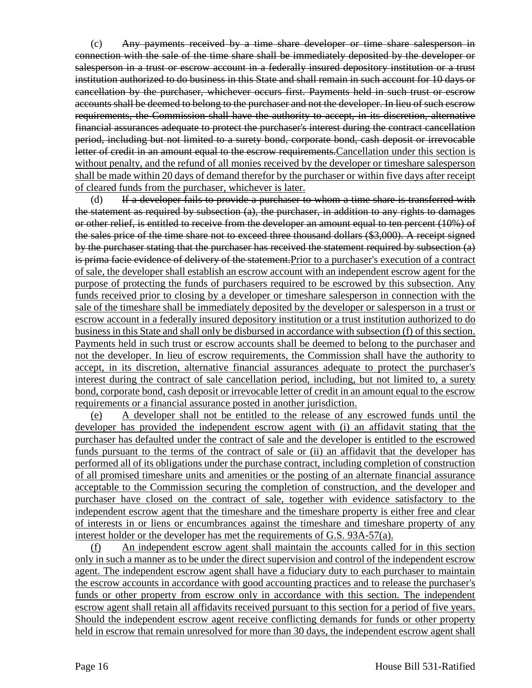(c) Any payments received by a time share developer or time share salesperson in connection with the sale of the time share shall be immediately deposited by the developer or salesperson in a trust or escrow account in a federally insured depository institution or a trust institution authorized to do business in this State and shall remain in such account for 10 days or cancellation by the purchaser, whichever occurs first. Payments held in such trust or escrow accounts shall be deemed to belong to the purchaser and not the developer. In lieu of such escrow requirements, the Commission shall have the authority to accept, in its discretion, alternative financial assurances adequate to protect the purchaser's interest during the contract cancellation period, including but not limited to a surety bond, corporate bond, cash deposit or irrevocable letter of credit in an amount equal to the escrow requirements. Cancellation under this section is without penalty, and the refund of all monies received by the developer or timeshare salesperson shall be made within 20 days of demand therefor by the purchaser or within five days after receipt of cleared funds from the purchaser, whichever is later.

(d) If a developer fails to provide a purchaser to whom a time share is transferred with the statement as required by subsection  $(a)$ , the purchaser, in addition to any rights to damages or other relief, is entitled to receive from the developer an amount equal to ten percent (10%) of the sales price of the time share not to exceed three thousand dollars (\$3,000). A receipt signed by the purchaser stating that the purchaser has received the statement required by subsection (a) is prima facie evidence of delivery of the statement.Prior to a purchaser's execution of a contract of sale, the developer shall establish an escrow account with an independent escrow agent for the purpose of protecting the funds of purchasers required to be escrowed by this subsection. Any funds received prior to closing by a developer or timeshare salesperson in connection with the sale of the timeshare shall be immediately deposited by the developer or salesperson in a trust or escrow account in a federally insured depository institution or a trust institution authorized to do business in this State and shall only be disbursed in accordance with subsection (f) of this section. Payments held in such trust or escrow accounts shall be deemed to belong to the purchaser and not the developer. In lieu of escrow requirements, the Commission shall have the authority to accept, in its discretion, alternative financial assurances adequate to protect the purchaser's interest during the contract of sale cancellation period, including, but not limited to, a surety bond, corporate bond, cash deposit or irrevocable letter of credit in an amount equal to the escrow requirements or a financial assurance posted in another jurisdiction.

A developer shall not be entitled to the release of any escrowed funds until the developer has provided the independent escrow agent with (i) an affidavit stating that the purchaser has defaulted under the contract of sale and the developer is entitled to the escrowed funds pursuant to the terms of the contract of sale or (ii) an affidavit that the developer has performed all of its obligations under the purchase contract, including completion of construction of all promised timeshare units and amenities or the posting of an alternate financial assurance acceptable to the Commission securing the completion of construction, and the developer and purchaser have closed on the contract of sale, together with evidence satisfactory to the independent escrow agent that the timeshare and the timeshare property is either free and clear of interests in or liens or encumbrances against the timeshare and timeshare property of any interest holder or the developer has met the requirements of G.S. 93A-57(a).

(f) An independent escrow agent shall maintain the accounts called for in this section only in such a manner as to be under the direct supervision and control of the independent escrow agent. The independent escrow agent shall have a fiduciary duty to each purchaser to maintain the escrow accounts in accordance with good accounting practices and to release the purchaser's funds or other property from escrow only in accordance with this section. The independent escrow agent shall retain all affidavits received pursuant to this section for a period of five years. Should the independent escrow agent receive conflicting demands for funds or other property held in escrow that remain unresolved for more than 30 days, the independent escrow agent shall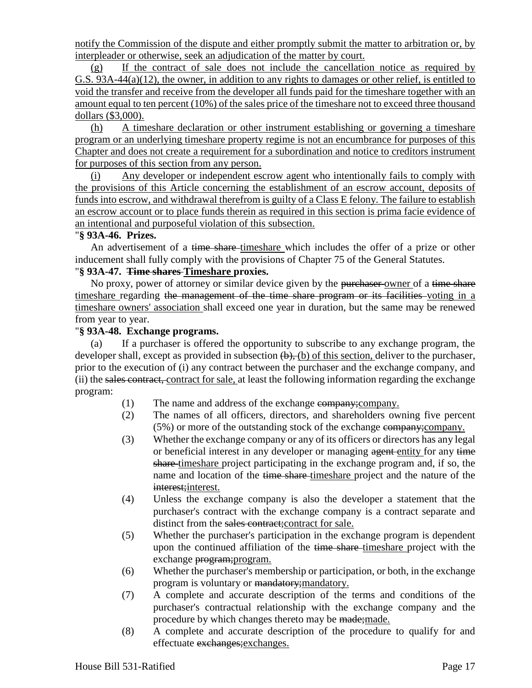notify the Commission of the dispute and either promptly submit the matter to arbitration or, by interpleader or otherwise, seek an adjudication of the matter by court.

(g) If the contract of sale does not include the cancellation notice as required by G.S. 93A-44(a)(12), the owner, in addition to any rights to damages or other relief, is entitled to void the transfer and receive from the developer all funds paid for the timeshare together with an amount equal to ten percent (10%) of the sales price of the timeshare not to exceed three thousand dollars (\$3,000).

(h) A timeshare declaration or other instrument establishing or governing a timeshare program or an underlying timeshare property regime is not an encumbrance for purposes of this Chapter and does not create a requirement for a subordination and notice to creditors instrument for purposes of this section from any person.

(i) Any developer or independent escrow agent who intentionally fails to comply with the provisions of this Article concerning the establishment of an escrow account, deposits of funds into escrow, and withdrawal therefrom is guilty of a Class E felony. The failure to establish an escrow account or to place funds therein as required in this section is prima facie evidence of an intentional and purposeful violation of this subsection.

## "**§ 93A-46. Prizes.**

An advertisement of a time share-timeshare which includes the offer of a prize or other inducement shall fully comply with the provisions of Chapter 75 of the General Statutes.

## "**§ 93A-47. Time shares Timeshare proxies.**

No proxy, power of attorney or similar device given by the purchaser-owner of a time share timeshare regarding the management of the time share program or its facilities voting in a timeshare owners' association shall exceed one year in duration, but the same may be renewed from year to year.

#### "**§ 93A-48. Exchange programs.**

(a) If a purchaser is offered the opportunity to subscribe to any exchange program, the developer shall, except as provided in subsection  $(\theta)$ ,  $(\theta)$  of this section, deliver to the purchaser, prior to the execution of (i) any contract between the purchaser and the exchange company, and (ii) the sales contract, contract for sale, at least the following information regarding the exchange program:

- (1) The name and address of the exchange company;company.
- (2) The names of all officers, directors, and shareholders owning five percent (5%) or more of the outstanding stock of the exchange company;company.
- (3) Whether the exchange company or any of its officers or directors has any legal or beneficial interest in any developer or managing agent entity for any time share timeshare project participating in the exchange program and, if so, the name and location of the time share-timeshare project and the nature of the interest; interest.
- (4) Unless the exchange company is also the developer a statement that the purchaser's contract with the exchange company is a contract separate and distinct from the sales contract; contract for sale.
- (5) Whether the purchaser's participation in the exchange program is dependent upon the continued affiliation of the time share-timeshare project with the exchange program;program.
- (6) Whether the purchaser's membership or participation, or both, in the exchange program is voluntary or mandatory; mandatory.
- (7) A complete and accurate description of the terms and conditions of the purchaser's contractual relationship with the exchange company and the procedure by which changes thereto may be made; made.
- (8) A complete and accurate description of the procedure to qualify for and effectuate exchanges;exchanges.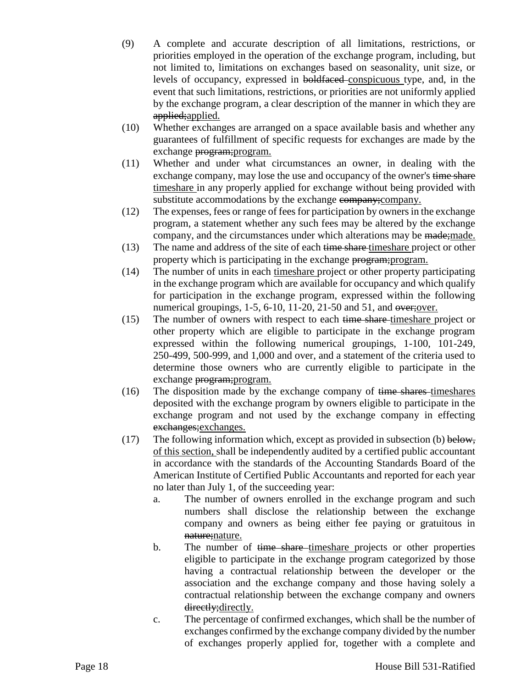- (9) A complete and accurate description of all limitations, restrictions, or priorities employed in the operation of the exchange program, including, but not limited to, limitations on exchanges based on seasonality, unit size, or levels of occupancy, expressed in boldfaced conspicuous type, and, in the event that such limitations, restrictions, or priorities are not uniformly applied by the exchange program, a clear description of the manner in which they are applied; applied.
- (10) Whether exchanges are arranged on a space available basis and whether any guarantees of fulfillment of specific requests for exchanges are made by the exchange program; program.
- (11) Whether and under what circumstances an owner, in dealing with the exchange company, may lose the use and occupancy of the owner's time share timeshare in any properly applied for exchange without being provided with substitute accommodations by the exchange company; company.
- (12) The expenses, fees or range of fees for participation by owners in the exchange program, a statement whether any such fees may be altered by the exchange company, and the circumstances under which alterations may be made; made.
- (13) The name and address of the site of each time share timeshare project or other property which is participating in the exchange program;program.
- (14) The number of units in each timeshare project or other property participating in the exchange program which are available for occupancy and which qualify for participation in the exchange program, expressed within the following numerical groupings, 1-5, 6-10, 11-20, 21-50 and 51, and over;over.
- (15) The number of owners with respect to each time share-timeshare project or other property which are eligible to participate in the exchange program expressed within the following numerical groupings, 1-100, 101-249, 250-499, 500-999, and 1,000 and over, and a statement of the criteria used to determine those owners who are currently eligible to participate in the exchange program; program.
- $(16)$  The disposition made by the exchange company of time shares timeshares deposited with the exchange program by owners eligible to participate in the exchange program and not used by the exchange company in effecting exchanges;exchanges.
- (17) The following information which, except as provided in subsection (b) below, of this section, shall be independently audited by a certified public accountant in accordance with the standards of the Accounting Standards Board of the American Institute of Certified Public Accountants and reported for each year no later than July 1, of the succeeding year:
	- a. The number of owners enrolled in the exchange program and such numbers shall disclose the relationship between the exchange company and owners as being either fee paying or gratuitous in nature; nature.
	- b. The number of time share-timeshare projects or other properties eligible to participate in the exchange program categorized by those having a contractual relationship between the developer or the association and the exchange company and those having solely a contractual relationship between the exchange company and owners directly; directly.
	- c. The percentage of confirmed exchanges, which shall be the number of exchanges confirmed by the exchange company divided by the number of exchanges properly applied for, together with a complete and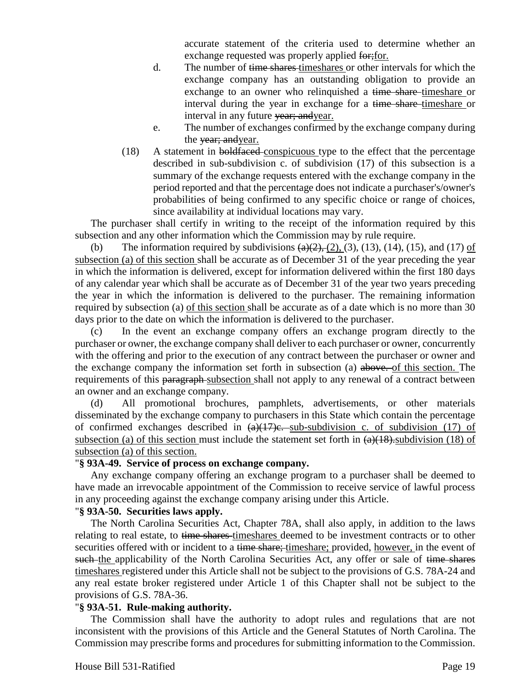accurate statement of the criteria used to determine whether an exchange requested was properly applied for; for.

- d. The number of time shares timeshares or other intervals for which the exchange company has an outstanding obligation to provide an exchange to an owner who relinquished a time share-timeshare or interval during the year in exchange for a time share-timeshare or interval in any future vear; and year.
- e. The number of exchanges confirmed by the exchange company during the vear; and year.
- (18) A statement in boldfaced conspicuous type to the effect that the percentage described in sub-subdivision c. of subdivision (17) of this subsection is a summary of the exchange requests entered with the exchange company in the period reported and that the percentage does not indicate a purchaser's/owner's probabilities of being confirmed to any specific choice or range of choices, since availability at individual locations may vary.

The purchaser shall certify in writing to the receipt of the information required by this subsection and any other information which the Commission may by rule require.

(b) The information required by subdivisions  $\left(\frac{a}{2}, \frac{b}{2}, \frac{c}{2}\right)$ , (3), (13), (14), (15), and (17) of subsection (a) of this section shall be accurate as of December 31 of the year preceding the year in which the information is delivered, except for information delivered within the first 180 days of any calendar year which shall be accurate as of December 31 of the year two years preceding the year in which the information is delivered to the purchaser. The remaining information required by subsection (a) of this section shall be accurate as of a date which is no more than 30 days prior to the date on which the information is delivered to the purchaser.

(c) In the event an exchange company offers an exchange program directly to the purchaser or owner, the exchange company shall deliver to each purchaser or owner, concurrently with the offering and prior to the execution of any contract between the purchaser or owner and the exchange company the information set forth in subsection (a) above. of this section. The requirements of this paragraph-subsection shall not apply to any renewal of a contract between an owner and an exchange company.

(d) All promotional brochures, pamphlets, advertisements, or other materials disseminated by the exchange company to purchasers in this State which contain the percentage of confirmed exchanges described in  $(a)(17)e$ . sub-subdivision c. of subdivision (17) of subsection (a) of this section must include the statement set forth in  $(a)(18)$ . subdivision (18) of subsection (a) of this section.

## "**§ 93A-49. Service of process on exchange company.**

Any exchange company offering an exchange program to a purchaser shall be deemed to have made an irrevocable appointment of the Commission to receive service of lawful process in any proceeding against the exchange company arising under this Article.

#### "**§ 93A-50. Securities laws apply.**

The North Carolina Securities Act, Chapter 78A, shall also apply, in addition to the laws relating to real estate, to time shares-timeshares deemed to be investment contracts or to other securities offered with or incident to a time share; timeshare; provided, however, in the event of such the applicability of the North Carolina Securities Act, any offer or sale of time shares timeshares registered under this Article shall not be subject to the provisions of G.S. 78A-24 and any real estate broker registered under Article 1 of this Chapter shall not be subject to the provisions of G.S. 78A-36.

## "**§ 93A-51. Rule-making authority.**

The Commission shall have the authority to adopt rules and regulations that are not inconsistent with the provisions of this Article and the General Statutes of North Carolina. The Commission may prescribe forms and procedures for submitting information to the Commission.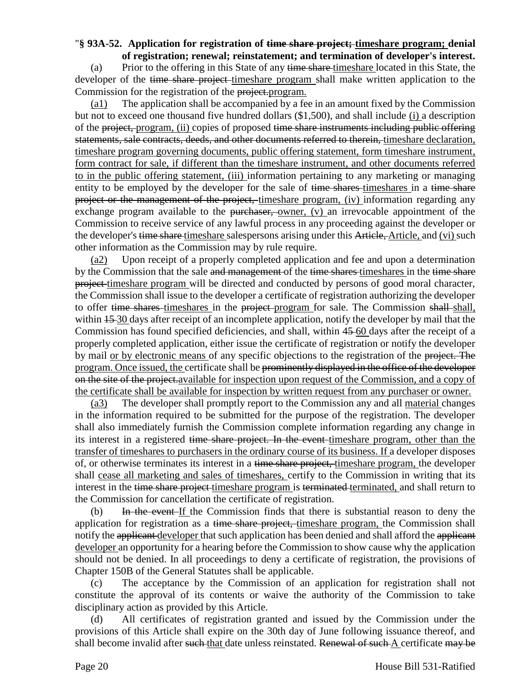# "**§ 93A-52. Application for registration of time share project; timeshare program; denial**

**of registration; renewal; reinstatement; and termination of developer's interest.** (a) Prior to the offering in this State of any time share timeshare located in this State, the developer of the time share project-timeshare program shall make written application to the Commission for the registration of the project.program.

(a1) The application shall be accompanied by a fee in an amount fixed by the Commission but not to exceed one thousand five hundred dollars (\$1,500), and shall include (i) a description of the project, program, (ii) copies of proposed time share instruments including public offering statements, sale contracts, deeds, and other documents referred to therein, timeshare declaration, timeshare program governing documents, public offering statement, form timeshare instrument, form contract for sale, if different than the timeshare instrument, and other documents referred to in the public offering statement, (iii) information pertaining to any marketing or managing entity to be employed by the developer for the sale of time shares-timeshares in a time share project or the management of the project, timeshare program, (iv) information regarding any exchange program available to the purchaser, owner,  $(v)$  an irrevocable appointment of the Commission to receive service of any lawful process in any proceeding against the developer or the developer's time share timeshare salespersons arising under this Article, Article, and (vi) such other information as the Commission may by rule require.

(a2) Upon receipt of a properly completed application and fee and upon a determination by the Commission that the sale and management of the time shares timeshares in the time share project timeshare program will be directed and conducted by persons of good moral character, the Commission shall issue to the developer a certificate of registration authorizing the developer to offer time shares timeshares in the project program for sale. The Commission shall shall, within  $15-30$  days after receipt of an incomplete application, notify the developer by mail that the Commission has found specified deficiencies, and shall, within 45 60 days after the receipt of a properly completed application, either issue the certificate of registration or notify the developer by mail or by electronic means of any specific objections to the registration of the project. The program. Once issued, the certificate shall be prominently displayed in the office of the developer on the site of the project.available for inspection upon request of the Commission, and a copy of the certificate shall be available for inspection by written request from any purchaser or owner.

(a3) The developer shall promptly report to the Commission any and all material changes in the information required to be submitted for the purpose of the registration. The developer shall also immediately furnish the Commission complete information regarding any change in its interest in a registered time share project. In the event timeshare program, other than the transfer of timeshares to purchasers in the ordinary course of its business. If a developer disposes of, or otherwise terminates its interest in a time share project, timeshare program, the developer shall cease all marketing and sales of timeshares, certify to the Commission in writing that its interest in the time share project timeshare program is terminated terminated, and shall return to the Commission for cancellation the certificate of registration.

(b) In the event If the Commission finds that there is substantial reason to deny the application for registration as a time share project, timeshare program, the Commission shall notify the applicant developer that such application has been denied and shall afford the applicant developer an opportunity for a hearing before the Commission to show cause why the application should not be denied. In all proceedings to deny a certificate of registration, the provisions of Chapter 150B of the General Statutes shall be applicable.

(c) The acceptance by the Commission of an application for registration shall not constitute the approval of its contents or waive the authority of the Commission to take disciplinary action as provided by this Article.

(d) All certificates of registration granted and issued by the Commission under the provisions of this Article shall expire on the 30th day of June following issuance thereof, and shall become invalid after such that date unless reinstated. Renewal of such A certificate may be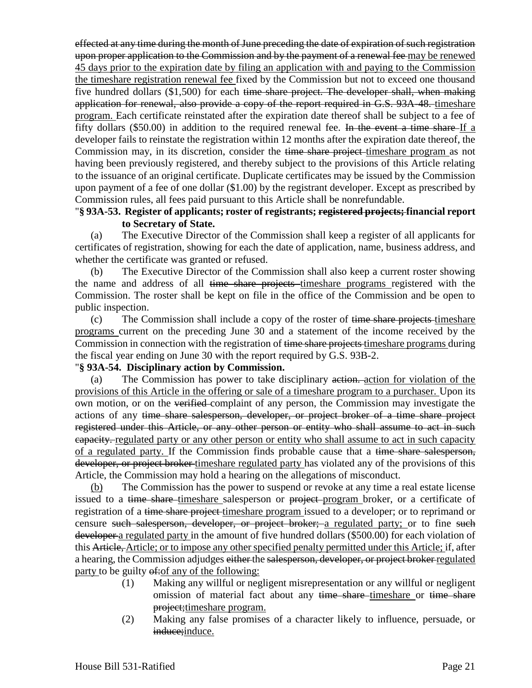effected at any time during the month of June preceding the date of expiration of such registration upon proper application to the Commission and by the payment of a renewal fee may be renewed 45 days prior to the expiration date by filing an application with and paying to the Commission the timeshare registration renewal fee fixed by the Commission but not to exceed one thousand five hundred dollars (\$1,500) for each time share project. The developer shall, when making application for renewal, also provide a copy of the report required in G.S. 93A-48. timeshare program. Each certificate reinstated after the expiration date thereof shall be subject to a fee of fifty dollars (\$50.00) in addition to the required renewal fee. In the event a time share If a developer fails to reinstate the registration within 12 months after the expiration date thereof, the Commission may, in its discretion, consider the time share project-timeshare program as not having been previously registered, and thereby subject to the provisions of this Article relating to the issuance of an original certificate. Duplicate certificates may be issued by the Commission upon payment of a fee of one dollar (\$1.00) by the registrant developer. Except as prescribed by Commission rules, all fees paid pursuant to this Article shall be nonrefundable.

## "**§ 93A-53. Register of applicants; roster of registrants; registered projects; financial report to Secretary of State.**

(a) The Executive Director of the Commission shall keep a register of all applicants for certificates of registration, showing for each the date of application, name, business address, and whether the certificate was granted or refused.

(b) The Executive Director of the Commission shall also keep a current roster showing the name and address of all time share projects timeshare programs registered with the Commission. The roster shall be kept on file in the office of the Commission and be open to public inspection.

(c) The Commission shall include a copy of the roster of time share projects timeshare programs current on the preceding June 30 and a statement of the income received by the Commission in connection with the registration of time share projects timeshare programs during the fiscal year ending on June 30 with the report required by G.S. 93B-2.

## "**§ 93A-54. Disciplinary action by Commission.**

(a) The Commission has power to take disciplinary action. action for violation of the provisions of this Article in the offering or sale of a timeshare program to a purchaser. Upon its own motion, or on the verified complaint of any person, the Commission may investigate the actions of any time share salesperson, developer, or project broker of a time share project registered under this Article, or any other person or entity who shall assume to act in such capacity. regulated party or any other person or entity who shall assume to act in such capacity of a regulated party. If the Commission finds probable cause that a time share salesperson, developer, or project broker timeshare regulated party has violated any of the provisions of this Article, the Commission may hold a hearing on the allegations of misconduct.

(b) The Commission has the power to suspend or revoke at any time a real estate license issued to a time share-timeshare salesperson or project-program broker, or a certificate of registration of a time share project timeshare program issued to a developer; or to reprimand or censure such salesperson, developer, or project broker; a regulated party; or to fine such developer a regulated party in the amount of five hundred dollars (\$500.00) for each violation of this Article, Article; or to impose any other specified penalty permitted under this Article; if, after a hearing, the Commission adjudges either the salesperson, developer, or project broker regulated party to be guilty  $\theta$ : of any of the following:

- (1) Making any willful or negligent misrepresentation or any willful or negligent omission of material fact about any time share timeshare or time share project;timeshare program.
- (2) Making any false promises of a character likely to influence, persuade, or induce; induce.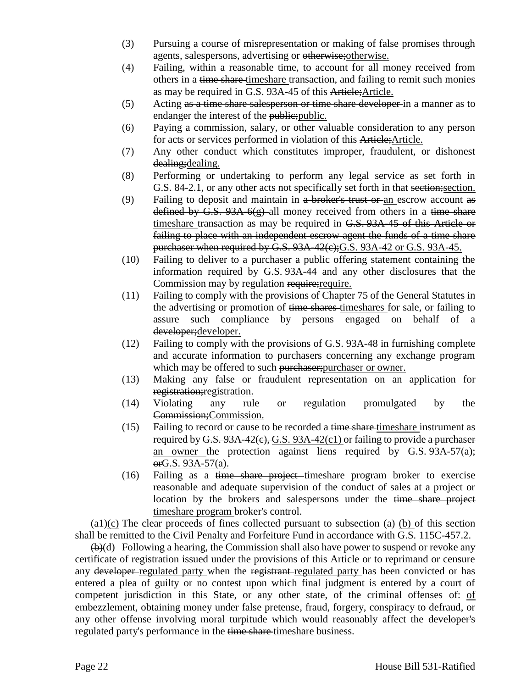- (3) Pursuing a course of misrepresentation or making of false promises through agents, salespersons, advertising or otherwise;otherwise.
- (4) Failing, within a reasonable time, to account for all money received from others in a time share timeshare transaction, and failing to remit such monies as may be required in G.S. 93A-45 of this Article;Article.
- (5) Acting as a time share salesperson or time share developer in a manner as to endanger the interest of the public; public.
- (6) Paying a commission, salary, or other valuable consideration to any person for acts or services performed in violation of this Article;Article.
- (7) Any other conduct which constitutes improper, fraudulent, or dishonest dealing;dealing.
- (8) Performing or undertaking to perform any legal service as set forth in G.S. 84-2.1, or any other acts not specifically set forth in that section;section.
- (9) Failing to deposit and maintain in  $a$  broker's trust or an escrow account as defined by G.S.  $93A-6(g)$ -all money received from others in a time share timeshare transaction as may be required in G.S. 93A-45 of this Article or failing to place with an independent escrow agent the funds of a time share purchaser when required by G.S. 93A-42(e); G.S. 93A-42 or G.S. 93A-45.
- (10) Failing to deliver to a purchaser a public offering statement containing the information required by G.S. 93A-44 and any other disclosures that the Commission may by regulation require; require.
- (11) Failing to comply with the provisions of Chapter 75 of the General Statutes in the advertising or promotion of time shares timeshares for sale, or failing to assure such compliance by persons engaged on behalf of a developer;developer.
- (12) Failing to comply with the provisions of G.S. 93A-48 in furnishing complete and accurate information to purchasers concerning any exchange program which may be offered to such purchaser; purchaser or owner.
- (13) Making any false or fraudulent representation on an application for registration;registration.
- (14) Violating any rule or regulation promulgated by the Commission;Commission.
- (15) Failing to record or cause to be recorded a time share timeshare instrument as required by  $G.S. 93A-42(c), G.S. 93A-42(c)$  or failing to provide a purchaser an owner the protection against liens required by  $G.S. 93A-57(a);$ orG.S. 93A-57(a).
- $(16)$  Failing as a time share project timeshare program broker to exercise reasonable and adequate supervision of the conduct of sales at a project or location by the brokers and salespersons under the time share project timeshare program broker's control.

 $(a+)(c)$  The clear proceeds of fines collected pursuant to subsection  $(a)+(b)$  of this section shall be remitted to the Civil Penalty and Forfeiture Fund in accordance with G.S. 115C-457.2.

 $(\theta)(d)$  Following a hearing, the Commission shall also have power to suspend or revoke any certificate of registration issued under the provisions of this Article or to reprimand or censure any developer-regulated party when the registrant-regulated party has been convicted or has entered a plea of guilty or no contest upon which final judgment is entered by a court of competent jurisdiction in this State, or any other state, of the criminal offenses  $\theta$ : of embezzlement, obtaining money under false pretense, fraud, forgery, conspiracy to defraud, or any other offense involving moral turpitude which would reasonably affect the developer's regulated party's performance in the time share timeshare business.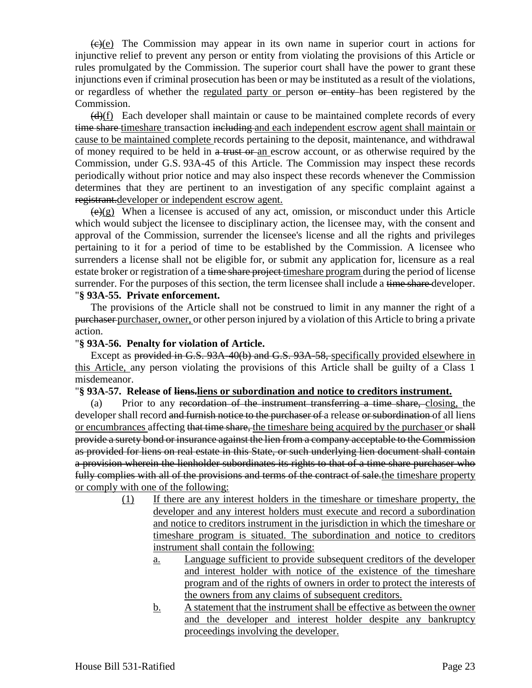$\left(\frac{f(x)}{g(x)}\right)$  The Commission may appear in its own name in superior court in actions for injunctive relief to prevent any person or entity from violating the provisions of this Article or rules promulgated by the Commission. The superior court shall have the power to grant these injunctions even if criminal prosecution has been or may be instituted as a result of the violations, or regardless of whether the regulated party or person or entity has been registered by the Commission.

 $(d)$ (f) Each developer shall maintain or cause to be maintained complete records of every time share timeshare transaction including and each independent escrow agent shall maintain or cause to be maintained complete records pertaining to the deposit, maintenance, and withdrawal of money required to be held in a trust or an escrow account, or as otherwise required by the Commission, under G.S. 93A-45 of this Article. The Commission may inspect these records periodically without prior notice and may also inspect these records whenever the Commission determines that they are pertinent to an investigation of any specific complaint against a registrant.developer or independent escrow agent.

 $(\epsilon)$ (g) When a licensee is accused of any act, omission, or misconduct under this Article which would subject the licensee to disciplinary action, the licensee may, with the consent and approval of the Commission, surrender the licensee's license and all the rights and privileges pertaining to it for a period of time to be established by the Commission. A licensee who surrenders a license shall not be eligible for, or submit any application for, licensure as a real estate broker or registration of a time share project times hare program during the period of license surrender. For the purposes of this section, the term licensee shall include a time share developer. "**§ 93A-55. Private enforcement.**

The provisions of the Article shall not be construed to limit in any manner the right of a purchaser purchaser, owner, or other person injured by a violation of this Article to bring a private action.

### "**§ 93A-56. Penalty for violation of Article.**

Except as provided in G.S. 93A-40(b) and G.S. 93A-58, specifically provided elsewhere in this Article, any person violating the provisions of this Article shall be guilty of a Class 1 misdemeanor.

#### "**§ 93A-57. Release of liens.liens or subordination and notice to creditors instrument.**

(a) Prior to any recordation of the instrument transferring a time share, closing, the developer shall record and furnish notice to the purchaser of a release or subordination of all liens or encumbrances affecting that time share, the timeshare being acquired by the purchaser or shall provide a surety bond or insurance against the lien from a company acceptable to the Commission as provided for liens on real estate in this State, or such underlying lien document shall contain a provision wherein the lienholder subordinates its rights to that of a time share purchaser who fully complies with all of the provisions and terms of the contract of sale. the timeshare property or comply with one of the following:

- (1) If there are any interest holders in the timeshare or timeshare property, the developer and any interest holders must execute and record a subordination and notice to creditors instrument in the jurisdiction in which the timeshare or timeshare program is situated. The subordination and notice to creditors instrument shall contain the following:
	- a. Language sufficient to provide subsequent creditors of the developer and interest holder with notice of the existence of the timeshare program and of the rights of owners in order to protect the interests of the owners from any claims of subsequent creditors.
	- b. A statement that the instrument shall be effective as between the owner and the developer and interest holder despite any bankruptcy proceedings involving the developer.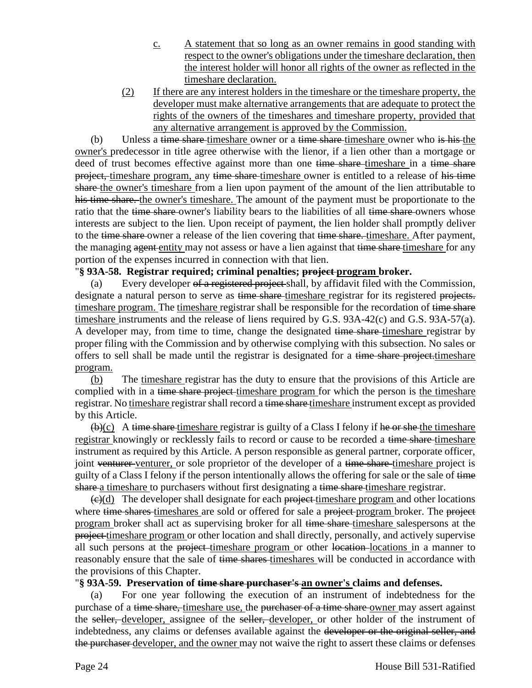- c. A statement that so long as an owner remains in good standing with respect to the owner's obligations under the timeshare declaration, then the interest holder will honor all rights of the owner as reflected in the timeshare declaration.
- (2) If there are any interest holders in the timeshare or the timeshare property, the developer must make alternative arrangements that are adequate to protect the rights of the owners of the timeshares and timeshare property, provided that any alternative arrangement is approved by the Commission.

(b) Unless a time share-timeshare owner or a time share-timeshare owner who is his the owner's predecessor in title agree otherwise with the lienor, if a lien other than a mortgage or deed of trust becomes effective against more than one time share-timeshare in a time share project, timeshare program, any time share-timeshare owner is entitled to a release of his time share the owner's timeshare from a lien upon payment of the amount of the lien attributable to his time share. the owner's timeshare. The amount of the payment must be proportionate to the ratio that the time share owner's liability bears to the liabilities of all time share owners whose interests are subject to the lien. Upon receipt of payment, the lien holder shall promptly deliver to the time share-owner a release of the lien covering that time share. timeshare. After payment, the managing agent entity may not assess or have a lien against that time share timeshare for any portion of the expenses incurred in connection with that lien.

## "**§ 93A-58. Registrar required; criminal penalties; project program broker.**

(a) Every developer of a registered project shall, by affidavit filed with the Commission, designate a natural person to serve as time share timeshare registrar for its registered projects. timeshare program. The timeshare registrar shall be responsible for the recordation of time share timeshare instruments and the release of liens required by G.S. 93A-42(c) and G.S. 93A-57(a). A developer may, from time to time, change the designated time share-timeshare registrar by proper filing with the Commission and by otherwise complying with this subsection. No sales or offers to sell shall be made until the registrar is designated for a time share project-timeshare program.

(b) The timeshare registrar has the duty to ensure that the provisions of this Article are complied with in a time share project timeshare program for which the person is the timeshare registrar. No timeshare registrar shall record a time share timeshare instrument except as provided by this Article.

 $\bigoplus$ (c) A time share timeshare registrar is guilty of a Class I felony if he or she the timeshare registrar knowingly or recklessly fails to record or cause to be recorded a time share timeshare instrument as required by this Article. A person responsible as general partner, corporate officer, joint venturer venturer, or sole proprietor of the developer of a time share-timeshare project is guilty of a Class I felony if the person intentionally allows the offering for sale or the sale of time share a timeshare to purchasers without first designating a time share timeshare registrar.

 $\left(\frac{e}{c}\right)$  The developer shall designate for each project-timeshare program and other locations where time shares timeshares are sold or offered for sale a project program broker. The project program broker shall act as supervising broker for all time share timeshare salespersons at the project timeshare program or other location and shall directly, personally, and actively supervise all such persons at the project-timeshare program or other location-locations in a manner to reasonably ensure that the sale of time shares timeshares will be conducted in accordance with the provisions of this Chapter.

## "**§ 93A-59. Preservation of time share purchaser's an owner's claims and defenses.**

(a) For one year following the execution of an instrument of indebtedness for the purchase of a time share, timeshare use, the purchaser of a time share owner may assert against the seller, developer, assignee of the seller, developer, or other holder of the instrument of indebtedness, any claims or defenses available against the developer or the original seller, and the purchaser developer, and the owner may not waive the right to assert these claims or defenses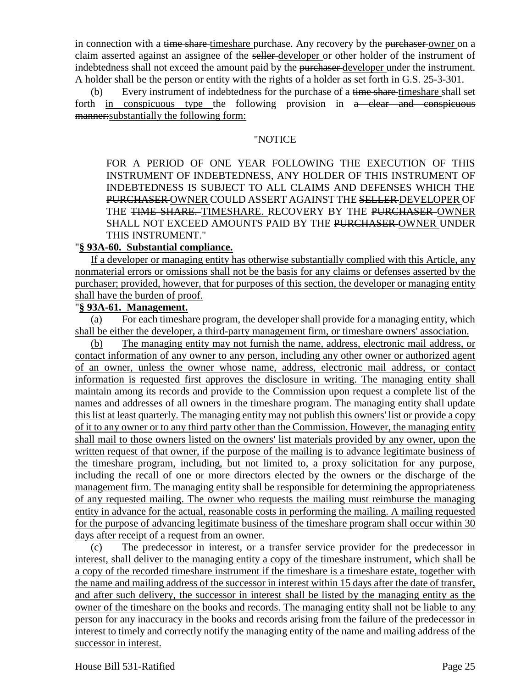in connection with a time share-timeshare purchase. Any recovery by the purchaser-owner on a claim asserted against an assignee of the seller developer or other holder of the instrument of indebtedness shall not exceed the amount paid by the purchaser developer under the instrument. A holder shall be the person or entity with the rights of a holder as set forth in G.S. 25-3-301.

(b) Every instrument of indebtedness for the purchase of a time share-timeshare shall set forth in conspicuous type the following provision in a clear and conspicuous manner:substantially the following form:

#### "NOTICE

FOR A PERIOD OF ONE YEAR FOLLOWING THE EXECUTION OF THIS INSTRUMENT OF INDEBTEDNESS, ANY HOLDER OF THIS INSTRUMENT OF INDEBTEDNESS IS SUBJECT TO ALL CLAIMS AND DEFENSES WHICH THE PURCHASER OWNER COULD ASSERT AGAINST THE SELLER DEVELOPER OF THE TIME SHARE. TIMESHARE. RECOVERY BY THE PURCHASER OWNER SHALL NOT EXCEED AMOUNTS PAID BY THE PURCHASER-OWNER UNDER THIS INSTRUMENT."

## "**§ 93A-60. Substantial compliance.**

If a developer or managing entity has otherwise substantially complied with this Article, any nonmaterial errors or omissions shall not be the basis for any claims or defenses asserted by the purchaser; provided, however, that for purposes of this section, the developer or managing entity shall have the burden of proof.

## "**§ 93A-61. Management.**

(a) For each timeshare program, the developer shall provide for a managing entity, which shall be either the developer, a third-party management firm, or timeshare owners' association.

(b) The managing entity may not furnish the name, address, electronic mail address, or contact information of any owner to any person, including any other owner or authorized agent of an owner, unless the owner whose name, address, electronic mail address, or contact information is requested first approves the disclosure in writing. The managing entity shall maintain among its records and provide to the Commission upon request a complete list of the names and addresses of all owners in the timeshare program. The managing entity shall update this list at least quarterly. The managing entity may not publish this owners' list or provide a copy of it to any owner or to any third party other than the Commission. However, the managing entity shall mail to those owners listed on the owners' list materials provided by any owner, upon the written request of that owner, if the purpose of the mailing is to advance legitimate business of the timeshare program, including, but not limited to, a proxy solicitation for any purpose, including the recall of one or more directors elected by the owners or the discharge of the management firm. The managing entity shall be responsible for determining the appropriateness of any requested mailing. The owner who requests the mailing must reimburse the managing entity in advance for the actual, reasonable costs in performing the mailing. A mailing requested for the purpose of advancing legitimate business of the timeshare program shall occur within 30 days after receipt of a request from an owner.

(c) The predecessor in interest, or a transfer service provider for the predecessor in interest, shall deliver to the managing entity a copy of the timeshare instrument, which shall be a copy of the recorded timeshare instrument if the timeshare is a timeshare estate, together with the name and mailing address of the successor in interest within 15 days after the date of transfer, and after such delivery, the successor in interest shall be listed by the managing entity as the owner of the timeshare on the books and records. The managing entity shall not be liable to any person for any inaccuracy in the books and records arising from the failure of the predecessor in interest to timely and correctly notify the managing entity of the name and mailing address of the successor in interest.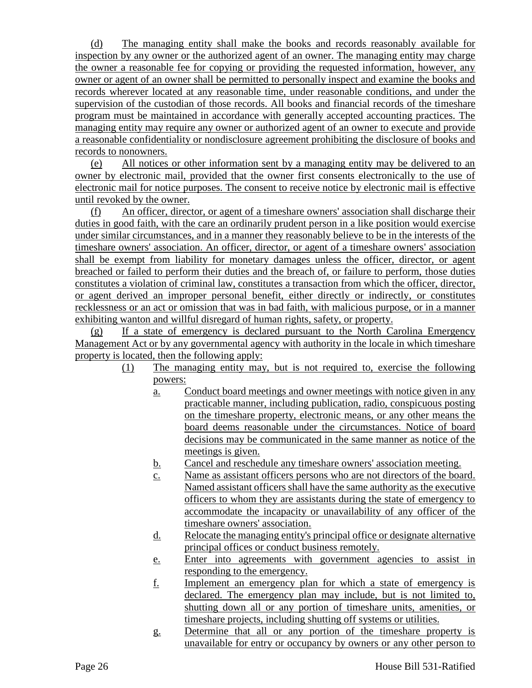(d) The managing entity shall make the books and records reasonably available for inspection by any owner or the authorized agent of an owner. The managing entity may charge the owner a reasonable fee for copying or providing the requested information, however, any owner or agent of an owner shall be permitted to personally inspect and examine the books and records wherever located at any reasonable time, under reasonable conditions, and under the supervision of the custodian of those records. All books and financial records of the timeshare program must be maintained in accordance with generally accepted accounting practices. The managing entity may require any owner or authorized agent of an owner to execute and provide a reasonable confidentiality or nondisclosure agreement prohibiting the disclosure of books and records to nonowners.

(e) All notices or other information sent by a managing entity may be delivered to an owner by electronic mail, provided that the owner first consents electronically to the use of electronic mail for notice purposes. The consent to receive notice by electronic mail is effective until revoked by the owner.

(f) An officer, director, or agent of a timeshare owners' association shall discharge their duties in good faith, with the care an ordinarily prudent person in a like position would exercise under similar circumstances, and in a manner they reasonably believe to be in the interests of the timeshare owners' association. An officer, director, or agent of a timeshare owners' association shall be exempt from liability for monetary damages unless the officer, director, or agent breached or failed to perform their duties and the breach of, or failure to perform, those duties constitutes a violation of criminal law, constitutes a transaction from which the officer, director, or agent derived an improper personal benefit, either directly or indirectly, or constitutes recklessness or an act or omission that was in bad faith, with malicious purpose, or in a manner exhibiting wanton and willful disregard of human rights, safety, or property.

(g) If a state of emergency is declared pursuant to the North Carolina Emergency Management Act or by any governmental agency with authority in the locale in which timeshare property is located, then the following apply:

- (1) The managing entity may, but is not required to, exercise the following powers:
	- a. Conduct board meetings and owner meetings with notice given in any practicable manner, including publication, radio, conspicuous posting on the timeshare property, electronic means, or any other means the board deems reasonable under the circumstances. Notice of board decisions may be communicated in the same manner as notice of the meetings is given.
	- b. Cancel and reschedule any timeshare owners' association meeting.
	- c. Name as assistant officers persons who are not directors of the board. Named assistant officers shall have the same authority as the executive officers to whom they are assistants during the state of emergency to accommodate the incapacity or unavailability of any officer of the timeshare owners' association.
	- d. Relocate the managing entity's principal office or designate alternative principal offices or conduct business remotely.
	- e. Enter into agreements with government agencies to assist in responding to the emergency.
	- f. Implement an emergency plan for which a state of emergency is declared. The emergency plan may include, but is not limited to, shutting down all or any portion of timeshare units, amenities, or timeshare projects, including shutting off systems or utilities.
	- g. Determine that all or any portion of the timeshare property is unavailable for entry or occupancy by owners or any other person to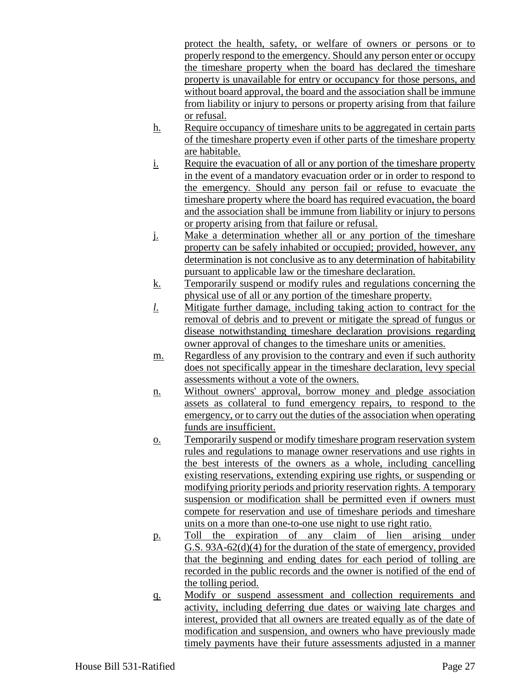protect the health, safety, or welfare of owners or persons or to properly respond to the emergency. Should any person enter or occupy the timeshare property when the board has declared the timeshare property is unavailable for entry or occupancy for those persons, and without board approval, the board and the association shall be immune from liability or injury to persons or property arising from that failure or refusal.

- h. Require occupancy of timeshare units to be aggregated in certain parts of the timeshare property even if other parts of the timeshare property are habitable.
- i. Require the evacuation of all or any portion of the timeshare property in the event of a mandatory evacuation order or in order to respond to the emergency. Should any person fail or refuse to evacuate the timeshare property where the board has required evacuation, the board and the association shall be immune from liability or injury to persons or property arising from that failure or refusal.
- j. Make a determination whether all or any portion of the timeshare property can be safely inhabited or occupied; provided, however, any determination is not conclusive as to any determination of habitability pursuant to applicable law or the timeshare declaration.
- k. Temporarily suspend or modify rules and regulations concerning the physical use of all or any portion of the timeshare property.
- *l*. Mitigate further damage, including taking action to contract for the removal of debris and to prevent or mitigate the spread of fungus or disease notwithstanding timeshare declaration provisions regarding owner approval of changes to the timeshare units or amenities.
- m. Regardless of any provision to the contrary and even if such authority does not specifically appear in the timeshare declaration, levy special assessments without a vote of the owners.
- n. Without owners' approval, borrow money and pledge association assets as collateral to fund emergency repairs, to respond to the emergency, or to carry out the duties of the association when operating funds are insufficient.
- o. Temporarily suspend or modify timeshare program reservation system rules and regulations to manage owner reservations and use rights in the best interests of the owners as a whole, including cancelling existing reservations, extending expiring use rights, or suspending or modifying priority periods and priority reservation rights. A temporary suspension or modification shall be permitted even if owners must compete for reservation and use of timeshare periods and timeshare units on a more than one-to-one use night to use right ratio.
- p. Toll the expiration of any claim of lien arising under G.S. 93A-62(d)(4) for the duration of the state of emergency, provided that the beginning and ending dates for each period of tolling are recorded in the public records and the owner is notified of the end of the tolling period.
- q. Modify or suspend assessment and collection requirements and activity, including deferring due dates or waiving late charges and interest, provided that all owners are treated equally as of the date of modification and suspension, and owners who have previously made timely payments have their future assessments adjusted in a manner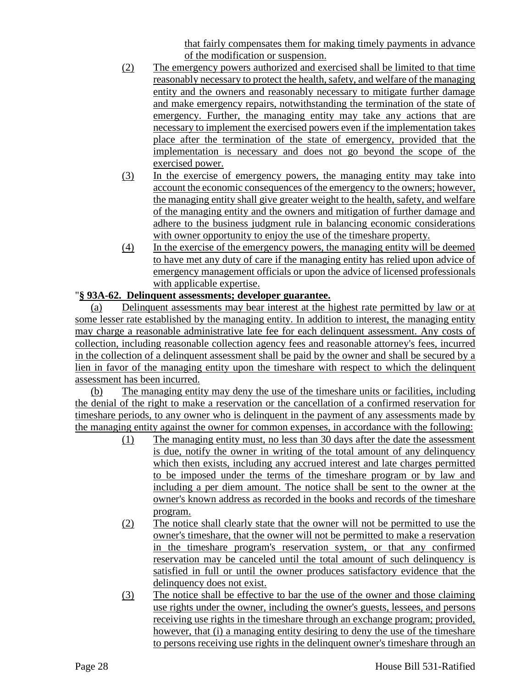that fairly compensates them for making timely payments in advance of the modification or suspension.

- (2) The emergency powers authorized and exercised shall be limited to that time reasonably necessary to protect the health, safety, and welfare of the managing entity and the owners and reasonably necessary to mitigate further damage and make emergency repairs, notwithstanding the termination of the state of emergency. Further, the managing entity may take any actions that are necessary to implement the exercised powers even if the implementation takes place after the termination of the state of emergency, provided that the implementation is necessary and does not go beyond the scope of the exercised power.
- (3) In the exercise of emergency powers, the managing entity may take into account the economic consequences of the emergency to the owners; however, the managing entity shall give greater weight to the health, safety, and welfare of the managing entity and the owners and mitigation of further damage and adhere to the business judgment rule in balancing economic considerations with owner opportunity to enjoy the use of the timeshare property.
- (4) In the exercise of the emergency powers, the managing entity will be deemed to have met any duty of care if the managing entity has relied upon advice of emergency management officials or upon the advice of licensed professionals with applicable expertise.

# "**§ 93A-62. Delinquent assessments; developer guarantee.**

(a) Delinquent assessments may bear interest at the highest rate permitted by law or at some lesser rate established by the managing entity. In addition to interest, the managing entity may charge a reasonable administrative late fee for each delinquent assessment. Any costs of collection, including reasonable collection agency fees and reasonable attorney's fees, incurred in the collection of a delinquent assessment shall be paid by the owner and shall be secured by a lien in favor of the managing entity upon the timeshare with respect to which the delinquent assessment has been incurred.

(b) The managing entity may deny the use of the timeshare units or facilities, including the denial of the right to make a reservation or the cancellation of a confirmed reservation for timeshare periods, to any owner who is delinquent in the payment of any assessments made by the managing entity against the owner for common expenses, in accordance with the following:

- (1) The managing entity must, no less than 30 days after the date the assessment is due, notify the owner in writing of the total amount of any delinquency which then exists, including any accrued interest and late charges permitted to be imposed under the terms of the timeshare program or by law and including a per diem amount. The notice shall be sent to the owner at the owner's known address as recorded in the books and records of the timeshare program.
- (2) The notice shall clearly state that the owner will not be permitted to use the owner's timeshare, that the owner will not be permitted to make a reservation in the timeshare program's reservation system, or that any confirmed reservation may be canceled until the total amount of such delinquency is satisfied in full or until the owner produces satisfactory evidence that the delinquency does not exist.
- (3) The notice shall be effective to bar the use of the owner and those claiming use rights under the owner, including the owner's guests, lessees, and persons receiving use rights in the timeshare through an exchange program; provided, however, that (i) a managing entity desiring to deny the use of the timeshare to persons receiving use rights in the delinquent owner's timeshare through an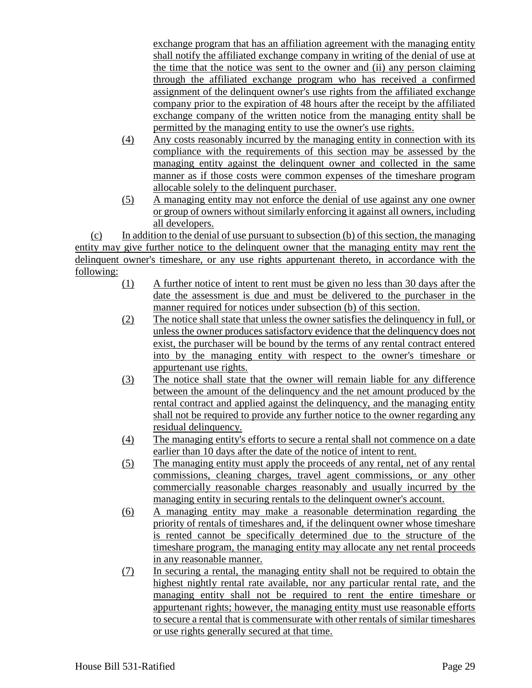exchange program that has an affiliation agreement with the managing entity shall notify the affiliated exchange company in writing of the denial of use at the time that the notice was sent to the owner and (ii) any person claiming through the affiliated exchange program who has received a confirmed assignment of the delinquent owner's use rights from the affiliated exchange company prior to the expiration of 48 hours after the receipt by the affiliated exchange company of the written notice from the managing entity shall be permitted by the managing entity to use the owner's use rights.

- (4) Any costs reasonably incurred by the managing entity in connection with its compliance with the requirements of this section may be assessed by the managing entity against the delinquent owner and collected in the same manner as if those costs were common expenses of the timeshare program allocable solely to the delinquent purchaser.
- (5) A managing entity may not enforce the denial of use against any one owner or group of owners without similarly enforcing it against all owners, including all developers.

(c) In addition to the denial of use pursuant to subsection (b) of this section, the managing entity may give further notice to the delinquent owner that the managing entity may rent the delinquent owner's timeshare, or any use rights appurtenant thereto, in accordance with the following:

- (1) A further notice of intent to rent must be given no less than 30 days after the date the assessment is due and must be delivered to the purchaser in the manner required for notices under subsection (b) of this section.
- (2) The notice shall state that unless the owner satisfies the delinquency in full, or unless the owner produces satisfactory evidence that the delinquency does not exist, the purchaser will be bound by the terms of any rental contract entered into by the managing entity with respect to the owner's timeshare or appurtenant use rights.
- (3) The notice shall state that the owner will remain liable for any difference between the amount of the delinquency and the net amount produced by the rental contract and applied against the delinquency, and the managing entity shall not be required to provide any further notice to the owner regarding any residual delinquency.
- (4) The managing entity's efforts to secure a rental shall not commence on a date earlier than 10 days after the date of the notice of intent to rent.
- (5) The managing entity must apply the proceeds of any rental, net of any rental commissions, cleaning charges, travel agent commissions, or any other commercially reasonable charges reasonably and usually incurred by the managing entity in securing rentals to the delinquent owner's account.
- (6) A managing entity may make a reasonable determination regarding the priority of rentals of timeshares and, if the delinquent owner whose timeshare is rented cannot be specifically determined due to the structure of the timeshare program, the managing entity may allocate any net rental proceeds in any reasonable manner.
- (7) In securing a rental, the managing entity shall not be required to obtain the highest nightly rental rate available, nor any particular rental rate, and the managing entity shall not be required to rent the entire timeshare or appurtenant rights; however, the managing entity must use reasonable efforts to secure a rental that is commensurate with other rentals of similar timeshares or use rights generally secured at that time.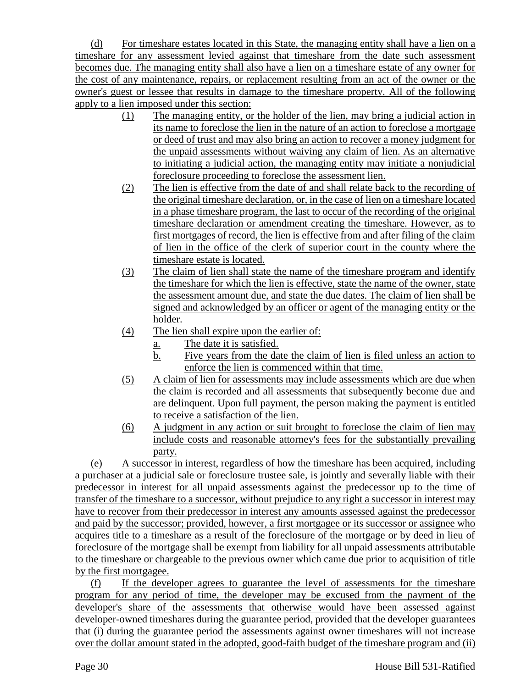(d) For timeshare estates located in this State, the managing entity shall have a lien on a timeshare for any assessment levied against that timeshare from the date such assessment becomes due. The managing entity shall also have a lien on a timeshare estate of any owner for the cost of any maintenance, repairs, or replacement resulting from an act of the owner or the owner's guest or lessee that results in damage to the timeshare property. All of the following apply to a lien imposed under this section:

- (1) The managing entity, or the holder of the lien, may bring a judicial action in its name to foreclose the lien in the nature of an action to foreclose a mortgage or deed of trust and may also bring an action to recover a money judgment for the unpaid assessments without waiving any claim of lien. As an alternative to initiating a judicial action, the managing entity may initiate a nonjudicial foreclosure proceeding to foreclose the assessment lien.
- (2) The lien is effective from the date of and shall relate back to the recording of the original timeshare declaration, or, in the case of lien on a timeshare located in a phase timeshare program, the last to occur of the recording of the original timeshare declaration or amendment creating the timeshare. However, as to first mortgages of record, the lien is effective from and after filing of the claim of lien in the office of the clerk of superior court in the county where the timeshare estate is located.
- (3) The claim of lien shall state the name of the timeshare program and identify the timeshare for which the lien is effective, state the name of the owner, state the assessment amount due, and state the due dates. The claim of lien shall be signed and acknowledged by an officer or agent of the managing entity or the holder.
- (4) The lien shall expire upon the earlier of:
	- a. The date it is satisfied.
	- b. Five years from the date the claim of lien is filed unless an action to enforce the lien is commenced within that time.
- (5) A claim of lien for assessments may include assessments which are due when the claim is recorded and all assessments that subsequently become due and are delinquent. Upon full payment, the person making the payment is entitled to receive a satisfaction of the lien.
- (6) A judgment in any action or suit brought to foreclose the claim of lien may include costs and reasonable attorney's fees for the substantially prevailing party.

(e) A successor in interest, regardless of how the timeshare has been acquired, including a purchaser at a judicial sale or foreclosure trustee sale, is jointly and severally liable with their predecessor in interest for all unpaid assessments against the predecessor up to the time of transfer of the timeshare to a successor, without prejudice to any right a successor in interest may have to recover from their predecessor in interest any amounts assessed against the predecessor and paid by the successor; provided, however, a first mortgagee or its successor or assignee who acquires title to a timeshare as a result of the foreclosure of the mortgage or by deed in lieu of foreclosure of the mortgage shall be exempt from liability for all unpaid assessments attributable to the timeshare or chargeable to the previous owner which came due prior to acquisition of title by the first mortgagee.

(f) If the developer agrees to guarantee the level of assessments for the timeshare program for any period of time, the developer may be excused from the payment of the developer's share of the assessments that otherwise would have been assessed against developer-owned timeshares during the guarantee period, provided that the developer guarantees that (i) during the guarantee period the assessments against owner timeshares will not increase over the dollar amount stated in the adopted, good-faith budget of the timeshare program and (ii)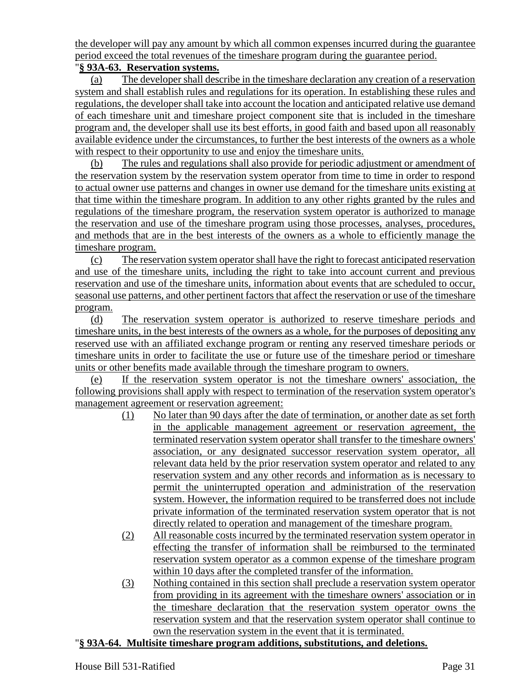the developer will pay any amount by which all common expenses incurred during the guarantee period exceed the total revenues of the timeshare program during the guarantee period.

# "**§ 93A-63. Reservation systems.**

(a) The developer shall describe in the timeshare declaration any creation of a reservation system and shall establish rules and regulations for its operation. In establishing these rules and regulations, the developer shall take into account the location and anticipated relative use demand of each timeshare unit and timeshare project component site that is included in the timeshare program and, the developer shall use its best efforts, in good faith and based upon all reasonably available evidence under the circumstances, to further the best interests of the owners as a whole with respect to their opportunity to use and enjoy the timeshare units.

(b) The rules and regulations shall also provide for periodic adjustment or amendment of the reservation system by the reservation system operator from time to time in order to respond to actual owner use patterns and changes in owner use demand for the timeshare units existing at that time within the timeshare program. In addition to any other rights granted by the rules and regulations of the timeshare program, the reservation system operator is authorized to manage the reservation and use of the timeshare program using those processes, analyses, procedures, and methods that are in the best interests of the owners as a whole to efficiently manage the timeshare program.

(c) The reservation system operator shall have the right to forecast anticipated reservation and use of the timeshare units, including the right to take into account current and previous reservation and use of the timeshare units, information about events that are scheduled to occur, seasonal use patterns, and other pertinent factors that affect the reservation or use of the timeshare program.

(d) The reservation system operator is authorized to reserve timeshare periods and timeshare units, in the best interests of the owners as a whole, for the purposes of depositing any reserved use with an affiliated exchange program or renting any reserved timeshare periods or timeshare units in order to facilitate the use or future use of the timeshare period or timeshare units or other benefits made available through the timeshare program to owners.

(e) If the reservation system operator is not the timeshare owners' association, the following provisions shall apply with respect to termination of the reservation system operator's management agreement or reservation agreement:

- (1) No later than 90 days after the date of termination, or another date as set forth in the applicable management agreement or reservation agreement, the terminated reservation system operator shall transfer to the timeshare owners' association, or any designated successor reservation system operator, all relevant data held by the prior reservation system operator and related to any reservation system and any other records and information as is necessary to permit the uninterrupted operation and administration of the reservation system. However, the information required to be transferred does not include private information of the terminated reservation system operator that is not directly related to operation and management of the timeshare program.
- (2) All reasonable costs incurred by the terminated reservation system operator in effecting the transfer of information shall be reimbursed to the terminated reservation system operator as a common expense of the timeshare program within 10 days after the completed transfer of the information.
- (3) Nothing contained in this section shall preclude a reservation system operator from providing in its agreement with the timeshare owners' association or in the timeshare declaration that the reservation system operator owns the reservation system and that the reservation system operator shall continue to own the reservation system in the event that it is terminated.

## "**§ 93A-64. Multisite timeshare program additions, substitutions, and deletions.**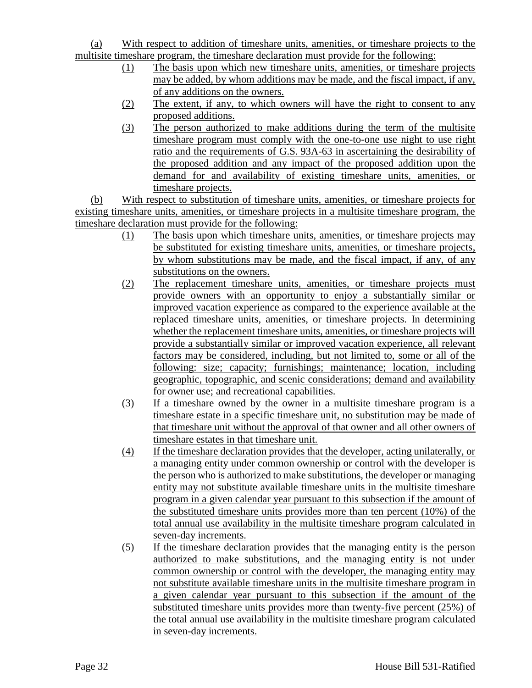# (a) With respect to addition of timeshare units, amenities, or timeshare projects to the multisite timeshare program, the timeshare declaration must provide for the following:

- (1) The basis upon which new timeshare units, amenities, or timeshare projects may be added, by whom additions may be made, and the fiscal impact, if any, of any additions on the owners.
- (2) The extent, if any, to which owners will have the right to consent to any proposed additions.
- (3) The person authorized to make additions during the term of the multisite timeshare program must comply with the one-to-one use night to use right ratio and the requirements of G.S. 93A-63 in ascertaining the desirability of the proposed addition and any impact of the proposed addition upon the demand for and availability of existing timeshare units, amenities, or timeshare projects.

(b) With respect to substitution of timeshare units, amenities, or timeshare projects for existing timeshare units, amenities, or timeshare projects in a multisite timeshare program, the timeshare declaration must provide for the following:

- (1) The basis upon which timeshare units, amenities, or timeshare projects may be substituted for existing timeshare units, amenities, or timeshare projects, by whom substitutions may be made, and the fiscal impact, if any, of any substitutions on the owners.
- (2) The replacement timeshare units, amenities, or timeshare projects must provide owners with an opportunity to enjoy a substantially similar or improved vacation experience as compared to the experience available at the replaced timeshare units, amenities, or timeshare projects. In determining whether the replacement timeshare units, amenities, or timeshare projects will provide a substantially similar or improved vacation experience, all relevant factors may be considered, including, but not limited to, some or all of the following: size; capacity; furnishings; maintenance; location, including geographic, topographic, and scenic considerations; demand and availability for owner use; and recreational capabilities.
- (3) If a timeshare owned by the owner in a multisite timeshare program is a timeshare estate in a specific timeshare unit, no substitution may be made of that timeshare unit without the approval of that owner and all other owners of timeshare estates in that timeshare unit.
- (4) If the timeshare declaration provides that the developer, acting unilaterally, or a managing entity under common ownership or control with the developer is the person who is authorized to make substitutions, the developer or managing entity may not substitute available timeshare units in the multisite timeshare program in a given calendar year pursuant to this subsection if the amount of the substituted timeshare units provides more than ten percent (10%) of the total annual use availability in the multisite timeshare program calculated in seven-day increments.
- (5) If the timeshare declaration provides that the managing entity is the person authorized to make substitutions, and the managing entity is not under common ownership or control with the developer, the managing entity may not substitute available timeshare units in the multisite timeshare program in a given calendar year pursuant to this subsection if the amount of the substituted timeshare units provides more than twenty-five percent (25%) of the total annual use availability in the multisite timeshare program calculated in seven-day increments.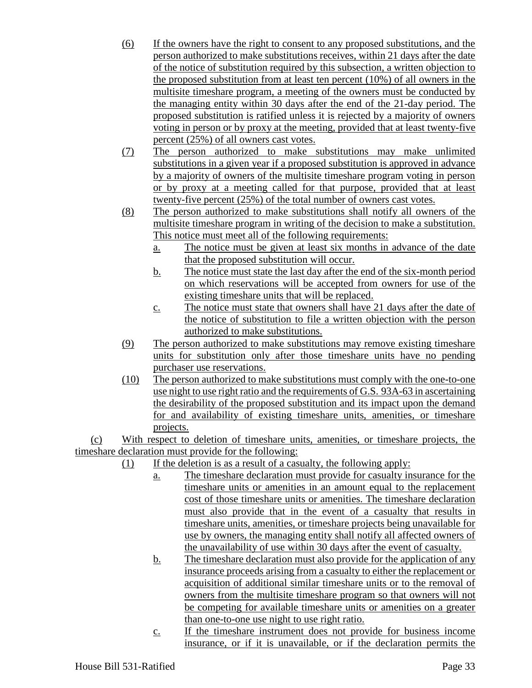- (6) If the owners have the right to consent to any proposed substitutions, and the person authorized to make substitutions receives, within 21 days after the date of the notice of substitution required by this subsection, a written objection to the proposed substitution from at least ten percent (10%) of all owners in the multisite timeshare program, a meeting of the owners must be conducted by the managing entity within 30 days after the end of the 21-day period. The proposed substitution is ratified unless it is rejected by a majority of owners voting in person or by proxy at the meeting, provided that at least twenty-five percent (25%) of all owners cast votes.
- (7) The person authorized to make substitutions may make unlimited substitutions in a given year if a proposed substitution is approved in advance by a majority of owners of the multisite timeshare program voting in person or by proxy at a meeting called for that purpose, provided that at least twenty-five percent (25%) of the total number of owners cast votes.
- (8) The person authorized to make substitutions shall notify all owners of the multisite timeshare program in writing of the decision to make a substitution. This notice must meet all of the following requirements:
	- a. The notice must be given at least six months in advance of the date that the proposed substitution will occur.
	- b. The notice must state the last day after the end of the six-month period on which reservations will be accepted from owners for use of the existing timeshare units that will be replaced.
	- c. The notice must state that owners shall have 21 days after the date of the notice of substitution to file a written objection with the person authorized to make substitutions.
- (9) The person authorized to make substitutions may remove existing timeshare units for substitution only after those timeshare units have no pending purchaser use reservations.
- (10) The person authorized to make substitutions must comply with the one-to-one use night to use right ratio and the requirements of G.S. 93A-63 in ascertaining the desirability of the proposed substitution and its impact upon the demand for and availability of existing timeshare units, amenities, or timeshare projects.

(c) With respect to deletion of timeshare units, amenities, or timeshare projects, the timeshare declaration must provide for the following:

- (1) If the deletion is as a result of a casualty, the following apply:
	- a. The timeshare declaration must provide for casualty insurance for the timeshare units or amenities in an amount equal to the replacement cost of those timeshare units or amenities. The timeshare declaration must also provide that in the event of a casualty that results in timeshare units, amenities, or timeshare projects being unavailable for use by owners, the managing entity shall notify all affected owners of the unavailability of use within 30 days after the event of casualty.
	- b. The timeshare declaration must also provide for the application of any insurance proceeds arising from a casualty to either the replacement or acquisition of additional similar timeshare units or to the removal of owners from the multisite timeshare program so that owners will not be competing for available timeshare units or amenities on a greater than one-to-one use night to use right ratio.
	- c. If the timeshare instrument does not provide for business income insurance, or if it is unavailable, or if the declaration permits the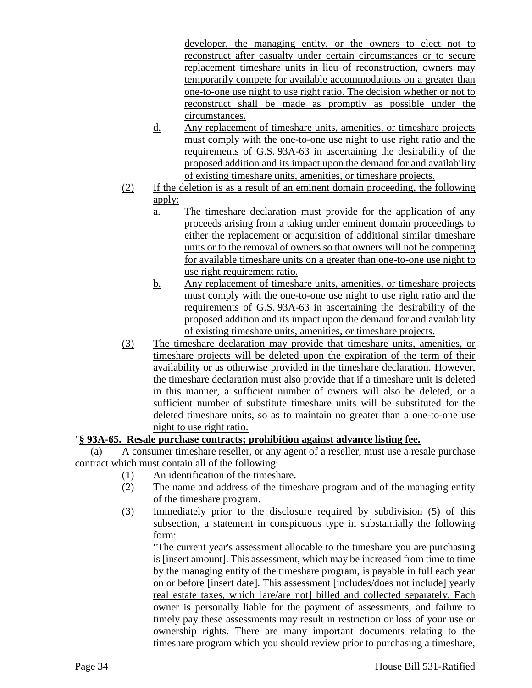developer, the managing entity, or the owners to elect not to reconstruct after casualty under certain circumstances or to secure replacement timeshare units in lieu of reconstruction, owners may temporarily compete for available accommodations on a greater than one-to-one use night to use right ratio. The decision whether or not to reconstruct shall be made as promptly as possible under the circumstances.

- d. Any replacement of timeshare units, amenities, or timeshare projects must comply with the one-to-one use night to use right ratio and the requirements of G.S. 93A-63 in ascertaining the desirability of the proposed addition and its impact upon the demand for and availability of existing timeshare units, amenities, or timeshare projects.
- (2) If the deletion is as a result of an eminent domain proceeding, the following apply:
	- a. The timeshare declaration must provide for the application of any proceeds arising from a taking under eminent domain proceedings to either the replacement or acquisition of additional similar timeshare units or to the removal of owners so that owners will not be competing for available timeshare units on a greater than one-to-one use night to use right requirement ratio.
	- b. Any replacement of timeshare units, amenities, or timeshare projects must comply with the one-to-one use night to use right ratio and the requirements of G.S. 93A-63 in ascertaining the desirability of the proposed addition and its impact upon the demand for and availability of existing timeshare units, amenities, or timeshare projects.
- (3) The timeshare declaration may provide that timeshare units, amenities, or timeshare projects will be deleted upon the expiration of the term of their availability or as otherwise provided in the timeshare declaration. However, the timeshare declaration must also provide that if a timeshare unit is deleted in this manner, a sufficient number of owners will also be deleted, or a sufficient number of substitute timeshare units will be substituted for the deleted timeshare units, so as to maintain no greater than a one-to-one use night to use right ratio.

# "**§ 93A-65. Resale purchase contracts; prohibition against advance listing fee.**

(a) A consumer timeshare reseller, or any agent of a reseller, must use a resale purchase contract which must contain all of the following:

- (1) An identification of the timeshare.
- (2) The name and address of the timeshare program and of the managing entity of the timeshare program.
- (3) Immediately prior to the disclosure required by subdivision (5) of this subsection, a statement in conspicuous type in substantially the following form:

"The current year's assessment allocable to the timeshare you are purchasing is [insert amount]. This assessment, which may be increased from time to time by the managing entity of the timeshare program, is payable in full each year on or before [insert date]. This assessment [includes/does not include] yearly real estate taxes, which [are/are not] billed and collected separately. Each owner is personally liable for the payment of assessments, and failure to timely pay these assessments may result in restriction or loss of your use or ownership rights. There are many important documents relating to the timeshare program which you should review prior to purchasing a timeshare,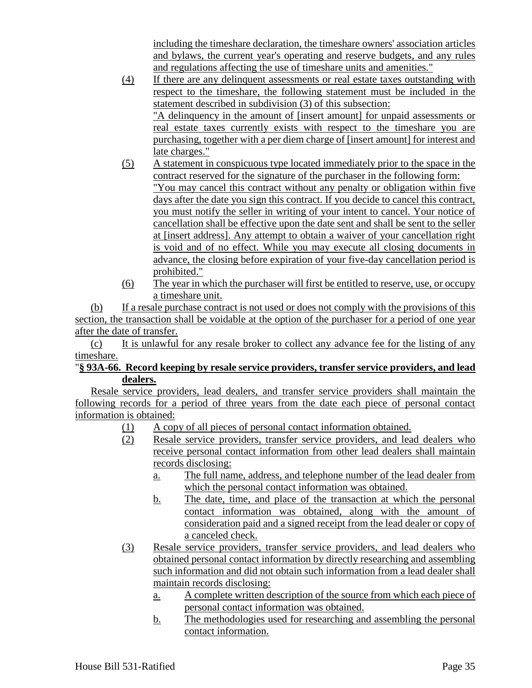including the timeshare declaration, the timeshare owners' association articles and bylaws, the current year's operating and reserve budgets, and any rules and regulations affecting the use of timeshare units and amenities."

- (4) If there are any delinquent assessments or real estate taxes outstanding with respect to the timeshare, the following statement must be included in the statement described in subdivision (3) of this subsection: "A delinquency in the amount of [insert amount] for unpaid assessments or real estate taxes currently exists with respect to the timeshare you are purchasing, together with a per diem charge of [insert amount] for interest and late charges."
- (5) A statement in conspicuous type located immediately prior to the space in the contract reserved for the signature of the purchaser in the following form: "You may cancel this contract without any penalty or obligation within five days after the date you sign this contract. If you decide to cancel this contract, you must notify the seller in writing of your intent to cancel. Your notice of cancellation shall be effective upon the date sent and shall be sent to the seller at [insert address]. Any attempt to obtain a waiver of your cancellation right is void and of no effect. While you may execute all closing documents in advance, the closing before expiration of your five-day cancellation period is prohibited."
- (6) The year in which the purchaser will first be entitled to reserve, use, or occupy a timeshare unit.

(b) If a resale purchase contract is not used or does not comply with the provisions of this section, the transaction shall be voidable at the option of the purchaser for a period of one year after the date of transfer.

(c) It is unlawful for any resale broker to collect any advance fee for the listing of any timeshare.

# "**§ 93A-66. Record keeping by resale service providers, transfer service providers, and lead dealers.**

Resale service providers, lead dealers, and transfer service providers shall maintain the following records for a period of three years from the date each piece of personal contact information is obtained:

- (1) A copy of all pieces of personal contact information obtained.
- (2) Resale service providers, transfer service providers, and lead dealers who receive personal contact information from other lead dealers shall maintain records disclosing:
	- a. The full name, address, and telephone number of the lead dealer from which the personal contact information was obtained.
	- b. The date, time, and place of the transaction at which the personal contact information was obtained, along with the amount of consideration paid and a signed receipt from the lead dealer or copy of a canceled check.
- (3) Resale service providers, transfer service providers, and lead dealers who obtained personal contact information by directly researching and assembling such information and did not obtain such information from a lead dealer shall maintain records disclosing:
	- a. A complete written description of the source from which each piece of personal contact information was obtained.
	- b. The methodologies used for researching and assembling the personal contact information.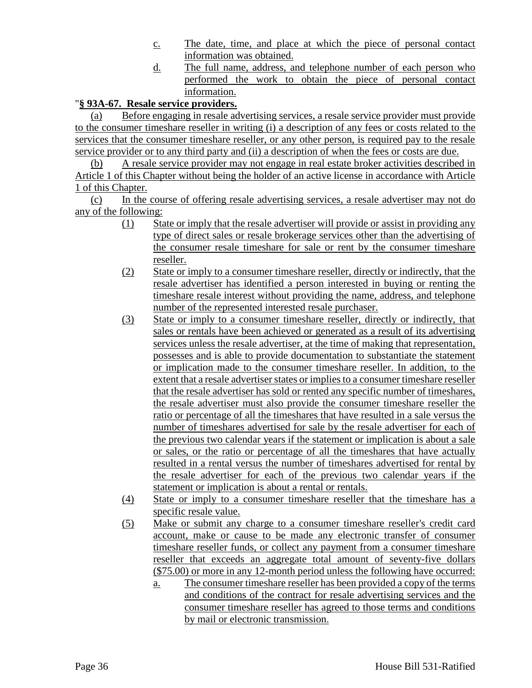- c. The date, time, and place at which the piece of personal contact information was obtained.
- d. The full name, address, and telephone number of each person who performed the work to obtain the piece of personal contact information.

# "**§ 93A-67. Resale service providers.**

(a) Before engaging in resale advertising services, a resale service provider must provide to the consumer timeshare reseller in writing (i) a description of any fees or costs related to the services that the consumer timeshare reseller, or any other person, is required pay to the resale service provider or to any third party and (ii) a description of when the fees or costs are due.

(b) A resale service provider may not engage in real estate broker activities described in Article 1 of this Chapter without being the holder of an active license in accordance with Article 1 of this Chapter.

(c) In the course of offering resale advertising services, a resale advertiser may not do any of the following:

- (1) State or imply that the resale advertiser will provide or assist in providing any type of direct sales or resale brokerage services other than the advertising of the consumer resale timeshare for sale or rent by the consumer timeshare reseller.
- (2) State or imply to a consumer timeshare reseller, directly or indirectly, that the resale advertiser has identified a person interested in buying or renting the timeshare resale interest without providing the name, address, and telephone number of the represented interested resale purchaser.
- (3) State or imply to a consumer timeshare reseller, directly or indirectly, that sales or rentals have been achieved or generated as a result of its advertising services unless the resale advertiser, at the time of making that representation, possesses and is able to provide documentation to substantiate the statement or implication made to the consumer timeshare reseller. In addition, to the extent that a resale advertiser states or implies to a consumer timeshare reseller that the resale advertiser has sold or rented any specific number of timeshares, the resale advertiser must also provide the consumer timeshare reseller the ratio or percentage of all the timeshares that have resulted in a sale versus the number of timeshares advertised for sale by the resale advertiser for each of the previous two calendar years if the statement or implication is about a sale or sales, or the ratio or percentage of all the timeshares that have actually resulted in a rental versus the number of timeshares advertised for rental by the resale advertiser for each of the previous two calendar years if the statement or implication is about a rental or rentals.
- (4) State or imply to a consumer timeshare reseller that the timeshare has a specific resale value.
- (5) Make or submit any charge to a consumer timeshare reseller's credit card account, make or cause to be made any electronic transfer of consumer timeshare reseller funds, or collect any payment from a consumer timeshare reseller that exceeds an aggregate total amount of seventy-five dollars (\$75.00) or more in any 12-month period unless the following have occurred:
	- a. The consumer timeshare reseller has been provided a copy of the terms and conditions of the contract for resale advertising services and the consumer timeshare reseller has agreed to those terms and conditions by mail or electronic transmission.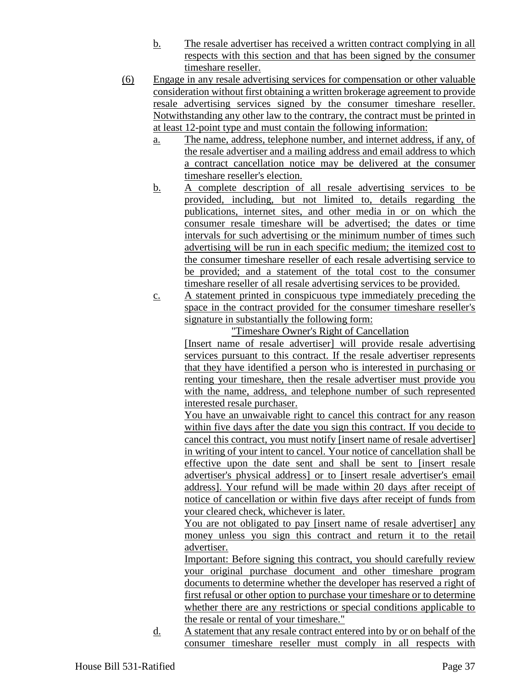- b. The resale advertiser has received a written contract complying in all respects with this section and that has been signed by the consumer timeshare reseller.
- (6) Engage in any resale advertising services for compensation or other valuable consideration without first obtaining a written brokerage agreement to provide resale advertising services signed by the consumer timeshare reseller. Notwithstanding any other law to the contrary, the contract must be printed in at least 12-point type and must contain the following information:
	- a. The name, address, telephone number, and internet address, if any, of the resale advertiser and a mailing address and email address to which a contract cancellation notice may be delivered at the consumer timeshare reseller's election.
	- b. A complete description of all resale advertising services to be provided, including, but not limited to, details regarding the publications, internet sites, and other media in or on which the consumer resale timeshare will be advertised; the dates or time intervals for such advertising or the minimum number of times such advertising will be run in each specific medium; the itemized cost to the consumer timeshare reseller of each resale advertising service to be provided; and a statement of the total cost to the consumer timeshare reseller of all resale advertising services to be provided.
	- c. A statement printed in conspicuous type immediately preceding the space in the contract provided for the consumer timeshare reseller's signature in substantially the following form:

"Timeshare Owner's Right of Cancellation [Insert name of resale advertiser] will provide resale advertising services pursuant to this contract. If the resale advertiser represents that they have identified a person who is interested in purchasing or renting your timeshare, then the resale advertiser must provide you

with the name, address, and telephone number of such represented

interested resale purchaser. You have an unwaivable right to cancel this contract for any reason within five days after the date you sign this contract. If you decide to cancel this contract, you must notify [insert name of resale advertiser] in writing of your intent to cancel. Your notice of cancellation shall be effective upon the date sent and shall be sent to [insert resale advertiser's physical address] or to [insert resale advertiser's email address]. Your refund will be made within 20 days after receipt of notice of cancellation or within five days after receipt of funds from your cleared check, whichever is later.

You are not obligated to pay [insert name of resale advertiser] any money unless you sign this contract and return it to the retail advertiser.

Important: Before signing this contract, you should carefully review your original purchase document and other timeshare program documents to determine whether the developer has reserved a right of first refusal or other option to purchase your timeshare or to determine whether there are any restrictions or special conditions applicable to the resale or rental of your timeshare."

d. A statement that any resale contract entered into by or on behalf of the consumer timeshare reseller must comply in all respects with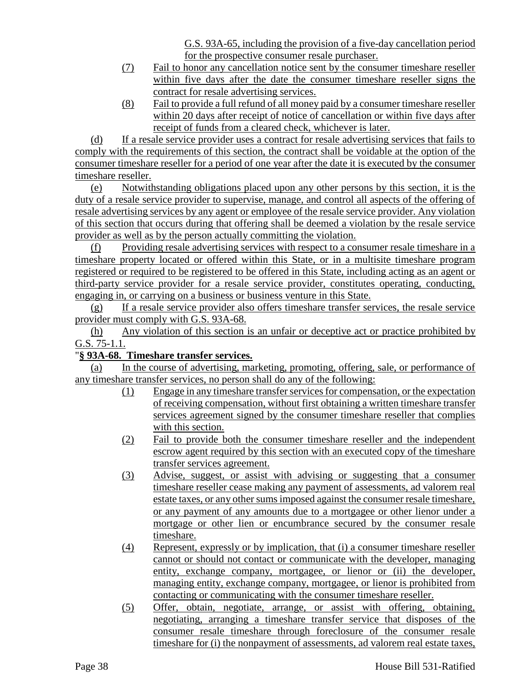G.S. 93A-65, including the provision of a five-day cancellation period for the prospective consumer resale purchaser.

- (7) Fail to honor any cancellation notice sent by the consumer timeshare reseller within five days after the date the consumer timeshare reseller signs the contract for resale advertising services.
- (8) Fail to provide a full refund of all money paid by a consumer timeshare reseller within 20 days after receipt of notice of cancellation or within five days after receipt of funds from a cleared check, whichever is later.

(d) If a resale service provider uses a contract for resale advertising services that fails to comply with the requirements of this section, the contract shall be voidable at the option of the consumer timeshare reseller for a period of one year after the date it is executed by the consumer timeshare reseller.

(e) Notwithstanding obligations placed upon any other persons by this section, it is the duty of a resale service provider to supervise, manage, and control all aspects of the offering of resale advertising services by any agent or employee of the resale service provider. Any violation of this section that occurs during that offering shall be deemed a violation by the resale service provider as well as by the person actually committing the violation.

(f) Providing resale advertising services with respect to a consumer resale timeshare in a timeshare property located or offered within this State, or in a multisite timeshare program registered or required to be registered to be offered in this State, including acting as an agent or third-party service provider for a resale service provider, constitutes operating, conducting, engaging in, or carrying on a business or business venture in this State.

(g) If a resale service provider also offers timeshare transfer services, the resale service provider must comply with G.S. 93A-68.

(h) Any violation of this section is an unfair or deceptive act or practice prohibited by G.S. 75-1.1.

# "**§ 93A-68. Timeshare transfer services.**

(a) In the course of advertising, marketing, promoting, offering, sale, or performance of any timeshare transfer services, no person shall do any of the following:

- (1) Engage in any timeshare transfer services for compensation, or the expectation of receiving compensation, without first obtaining a written timeshare transfer services agreement signed by the consumer timeshare reseller that complies with this section.
- (2) Fail to provide both the consumer timeshare reseller and the independent escrow agent required by this section with an executed copy of the timeshare transfer services agreement.
- (3) Advise, suggest, or assist with advising or suggesting that a consumer timeshare reseller cease making any payment of assessments, ad valorem real estate taxes, or any other sums imposed against the consumer resale timeshare, or any payment of any amounts due to a mortgagee or other lienor under a mortgage or other lien or encumbrance secured by the consumer resale timeshare.
- (4) Represent, expressly or by implication, that (i) a consumer timeshare reseller cannot or should not contact or communicate with the developer, managing entity, exchange company, mortgagee, or lienor or (ii) the developer, managing entity, exchange company, mortgagee, or lienor is prohibited from contacting or communicating with the consumer timeshare reseller.
- (5) Offer, obtain, negotiate, arrange, or assist with offering, obtaining, negotiating, arranging a timeshare transfer service that disposes of the consumer resale timeshare through foreclosure of the consumer resale timeshare for (i) the nonpayment of assessments, ad valorem real estate taxes,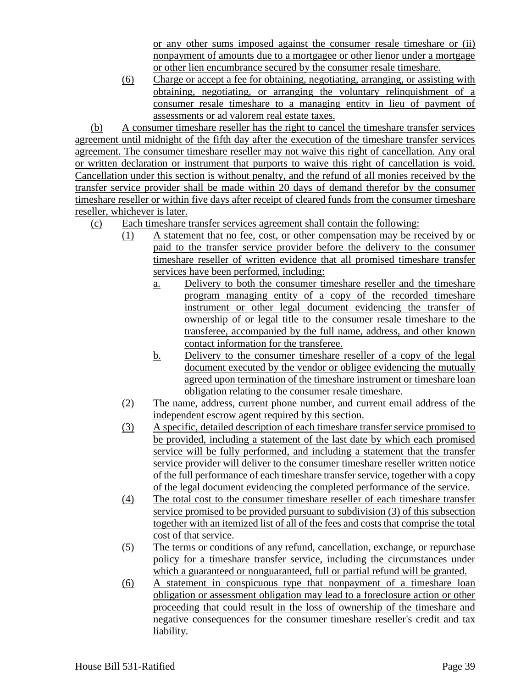or any other sums imposed against the consumer resale timeshare or (ii) nonpayment of amounts due to a mortgagee or other lienor under a mortgage or other lien encumbrance secured by the consumer resale timeshare.

(6) Charge or accept a fee for obtaining, negotiating, arranging, or assisting with obtaining, negotiating, or arranging the voluntary relinquishment of a consumer resale timeshare to a managing entity in lieu of payment of assessments or ad valorem real estate taxes.

(b) A consumer timeshare reseller has the right to cancel the timeshare transfer services agreement until midnight of the fifth day after the execution of the timeshare transfer services agreement. The consumer timeshare reseller may not waive this right of cancellation. Any oral or written declaration or instrument that purports to waive this right of cancellation is void. Cancellation under this section is without penalty, and the refund of all monies received by the transfer service provider shall be made within 20 days of demand therefor by the consumer timeshare reseller or within five days after receipt of cleared funds from the consumer timeshare reseller, whichever is later.

- (c) Each timeshare transfer services agreement shall contain the following:
	- (1) A statement that no fee, cost, or other compensation may be received by or paid to the transfer service provider before the delivery to the consumer timeshare reseller of written evidence that all promised timeshare transfer services have been performed, including:
		- a. Delivery to both the consumer timeshare reseller and the timeshare program managing entity of a copy of the recorded timeshare instrument or other legal document evidencing the transfer of ownership of or legal title to the consumer resale timeshare to the transferee, accompanied by the full name, address, and other known contact information for the transferee.
		- b. Delivery to the consumer timeshare reseller of a copy of the legal document executed by the vendor or obligee evidencing the mutually agreed upon termination of the timeshare instrument or timeshare loan obligation relating to the consumer resale timeshare.
	- (2) The name, address, current phone number, and current email address of the independent escrow agent required by this section.
	- (3) A specific, detailed description of each timeshare transfer service promised to be provided, including a statement of the last date by which each promised service will be fully performed, and including a statement that the transfer service provider will deliver to the consumer timeshare reseller written notice of the full performance of each timeshare transfer service, together with a copy of the legal document evidencing the completed performance of the service.
	- (4) The total cost to the consumer timeshare reseller of each timeshare transfer service promised to be provided pursuant to subdivision (3) of this subsection together with an itemized list of all of the fees and costs that comprise the total cost of that service.
	- (5) The terms or conditions of any refund, cancellation, exchange, or repurchase policy for a timeshare transfer service, including the circumstances under which a guaranteed or nonguaranteed, full or partial refund will be granted.
	- (6) A statement in conspicuous type that nonpayment of a timeshare loan obligation or assessment obligation may lead to a foreclosure action or other proceeding that could result in the loss of ownership of the timeshare and negative consequences for the consumer timeshare reseller's credit and tax liability.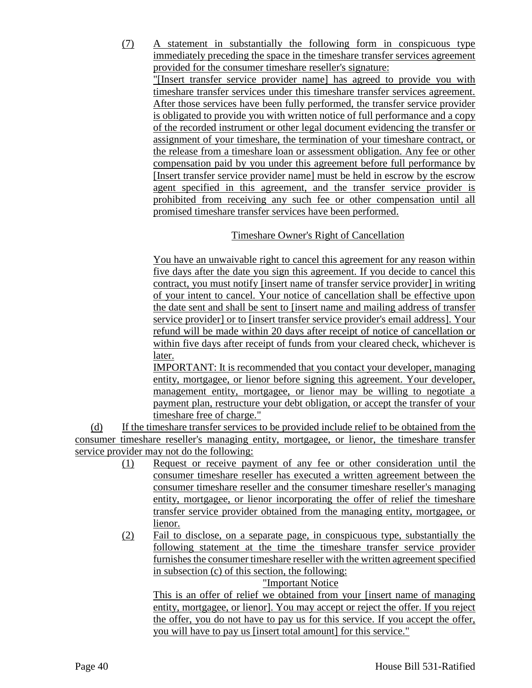(7) A statement in substantially the following form in conspicuous type immediately preceding the space in the timeshare transfer services agreement provided for the consumer timeshare reseller's signature:

"[Insert transfer service provider name] has agreed to provide you with timeshare transfer services under this timeshare transfer services agreement. After those services have been fully performed, the transfer service provider is obligated to provide you with written notice of full performance and a copy of the recorded instrument or other legal document evidencing the transfer or assignment of your timeshare, the termination of your timeshare contract, or the release from a timeshare loan or assessment obligation. Any fee or other compensation paid by you under this agreement before full performance by [Insert transfer service provider name] must be held in escrow by the escrow agent specified in this agreement, and the transfer service provider is prohibited from receiving any such fee or other compensation until all promised timeshare transfer services have been performed.

# Timeshare Owner's Right of Cancellation

You have an unwaivable right to cancel this agreement for any reason within five days after the date you sign this agreement. If you decide to cancel this contract, you must notify [insert name of transfer service provider] in writing of your intent to cancel. Your notice of cancellation shall be effective upon the date sent and shall be sent to [insert name and mailing address of transfer service provider] or to [insert transfer service provider's email address]. Your refund will be made within 20 days after receipt of notice of cancellation or within five days after receipt of funds from your cleared check, whichever is later.

IMPORTANT: It is recommended that you contact your developer, managing entity, mortgagee, or lienor before signing this agreement. Your developer, management entity, mortgagee, or lienor may be willing to negotiate a payment plan, restructure your debt obligation, or accept the transfer of your timeshare free of charge."

(d) If the timeshare transfer services to be provided include relief to be obtained from the consumer timeshare reseller's managing entity, mortgagee, or lienor, the timeshare transfer service provider may not do the following:

- (1) Request or receive payment of any fee or other consideration until the consumer timeshare reseller has executed a written agreement between the consumer timeshare reseller and the consumer timeshare reseller's managing entity, mortgagee, or lienor incorporating the offer of relief the timeshare transfer service provider obtained from the managing entity, mortgagee, or lienor.
- (2) Fail to disclose, on a separate page, in conspicuous type, substantially the following statement at the time the timeshare transfer service provider furnishes the consumer timeshare reseller with the written agreement specified in subsection (c) of this section, the following:

"Important Notice

This is an offer of relief we obtained from your [insert name of managing entity, mortgagee, or lienor]. You may accept or reject the offer. If you reject the offer, you do not have to pay us for this service. If you accept the offer, you will have to pay us [insert total amount] for this service."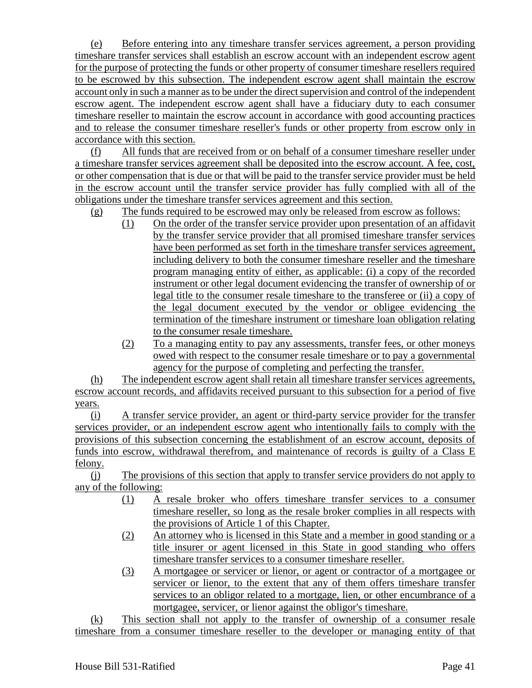(e) Before entering into any timeshare transfer services agreement, a person providing timeshare transfer services shall establish an escrow account with an independent escrow agent for the purpose of protecting the funds or other property of consumer timeshare resellers required to be escrowed by this subsection. The independent escrow agent shall maintain the escrow account only in such a manner as to be under the direct supervision and control of the independent escrow agent. The independent escrow agent shall have a fiduciary duty to each consumer timeshare reseller to maintain the escrow account in accordance with good accounting practices and to release the consumer timeshare reseller's funds or other property from escrow only in accordance with this section.

(f) All funds that are received from or on behalf of a consumer timeshare reseller under a timeshare transfer services agreement shall be deposited into the escrow account. A fee, cost, or other compensation that is due or that will be paid to the transfer service provider must be held in the escrow account until the transfer service provider has fully complied with all of the obligations under the timeshare transfer services agreement and this section.

- (g) The funds required to be escrowed may only be released from escrow as follows:
	- (1) On the order of the transfer service provider upon presentation of an affidavit by the transfer service provider that all promised timeshare transfer services have been performed as set forth in the timeshare transfer services agreement, including delivery to both the consumer timeshare reseller and the timeshare program managing entity of either, as applicable: (i) a copy of the recorded instrument or other legal document evidencing the transfer of ownership of or legal title to the consumer resale timeshare to the transferee or (ii) a copy of the legal document executed by the vendor or obligee evidencing the termination of the timeshare instrument or timeshare loan obligation relating to the consumer resale timeshare.
	- (2) To a managing entity to pay any assessments, transfer fees, or other moneys owed with respect to the consumer resale timeshare or to pay a governmental agency for the purpose of completing and perfecting the transfer.

(h) The independent escrow agent shall retain all timeshare transfer services agreements, escrow account records, and affidavits received pursuant to this subsection for a period of five years.

(i) A transfer service provider, an agent or third-party service provider for the transfer services provider, or an independent escrow agent who intentionally fails to comply with the provisions of this subsection concerning the establishment of an escrow account, deposits of funds into escrow, withdrawal therefrom, and maintenance of records is guilty of a Class E felony.

(j) The provisions of this section that apply to transfer service providers do not apply to any of the following:

- (1) A resale broker who offers timeshare transfer services to a consumer timeshare reseller, so long as the resale broker complies in all respects with the provisions of Article 1 of this Chapter.
- (2) An attorney who is licensed in this State and a member in good standing or a title insurer or agent licensed in this State in good standing who offers timeshare transfer services to a consumer timeshare reseller.
- (3) A mortgagee or servicer or lienor, or agent or contractor of a mortgagee or servicer or lienor, to the extent that any of them offers timeshare transfer services to an obligor related to a mortgage, lien, or other encumbrance of a mortgagee, servicer, or lienor against the obligor's timeshare.

(k) This section shall not apply to the transfer of ownership of a consumer resale timeshare from a consumer timeshare reseller to the developer or managing entity of that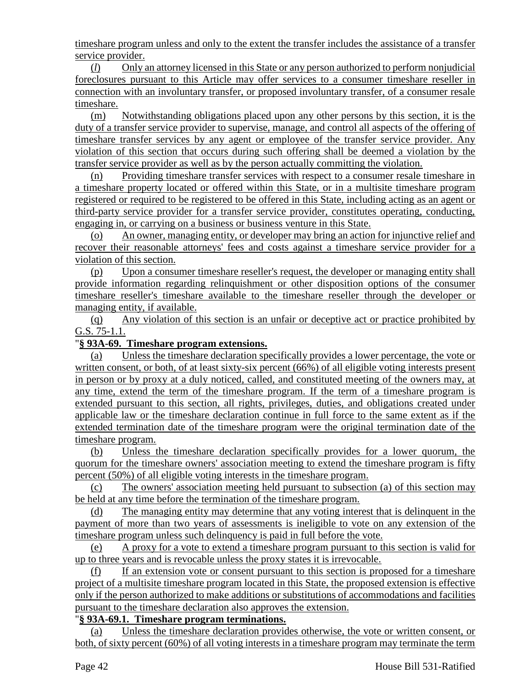timeshare program unless and only to the extent the transfer includes the assistance of a transfer service provider.

(*l*) Only an attorney licensed in this State or any person authorized to perform nonjudicial foreclosures pursuant to this Article may offer services to a consumer timeshare reseller in connection with an involuntary transfer, or proposed involuntary transfer, of a consumer resale timeshare.

(m) Notwithstanding obligations placed upon any other persons by this section, it is the duty of a transfer service provider to supervise, manage, and control all aspects of the offering of timeshare transfer services by any agent or employee of the transfer service provider. Any violation of this section that occurs during such offering shall be deemed a violation by the transfer service provider as well as by the person actually committing the violation.

(n) Providing timeshare transfer services with respect to a consumer resale timeshare in a timeshare property located or offered within this State, or in a multisite timeshare program registered or required to be registered to be offered in this State, including acting as an agent or third-party service provider for a transfer service provider, constitutes operating, conducting, engaging in, or carrying on a business or business venture in this State.

(o) An owner, managing entity, or developer may bring an action for injunctive relief and recover their reasonable attorneys' fees and costs against a timeshare service provider for a violation of this section.

(p) Upon a consumer timeshare reseller's request, the developer or managing entity shall provide information regarding relinquishment or other disposition options of the consumer timeshare reseller's timeshare available to the timeshare reseller through the developer or managing entity, if available.

(q) Any violation of this section is an unfair or deceptive act or practice prohibited by G.S. 75-1.1.

## "**§ 93A-69. Timeshare program extensions.**

(a) Unless the timeshare declaration specifically provides a lower percentage, the vote or written consent, or both, of at least sixty-six percent (66%) of all eligible voting interests present in person or by proxy at a duly noticed, called, and constituted meeting of the owners may, at any time, extend the term of the timeshare program. If the term of a timeshare program is extended pursuant to this section, all rights, privileges, duties, and obligations created under applicable law or the timeshare declaration continue in full force to the same extent as if the extended termination date of the timeshare program were the original termination date of the timeshare program.

(b) Unless the timeshare declaration specifically provides for a lower quorum, the quorum for the timeshare owners' association meeting to extend the timeshare program is fifty percent (50%) of all eligible voting interests in the timeshare program.

(c) The owners' association meeting held pursuant to subsection (a) of this section may be held at any time before the termination of the timeshare program.

(d) The managing entity may determine that any voting interest that is delinquent in the payment of more than two years of assessments is ineligible to vote on any extension of the timeshare program unless such delinquency is paid in full before the vote.

(e) A proxy for a vote to extend a timeshare program pursuant to this section is valid for up to three years and is revocable unless the proxy states it is irrevocable.

(f) If an extension vote or consent pursuant to this section is proposed for a timeshare project of a multisite timeshare program located in this State, the proposed extension is effective only if the person authorized to make additions or substitutions of accommodations and facilities pursuant to the timeshare declaration also approves the extension.

## "**§ 93A-69.1. Timeshare program terminations.**

(a) Unless the timeshare declaration provides otherwise, the vote or written consent, or both, of sixty percent (60%) of all voting interests in a timeshare program may terminate the term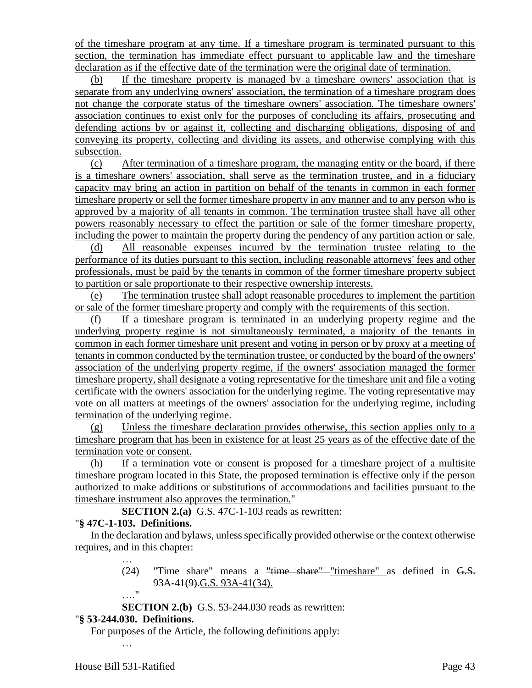of the timeshare program at any time. If a timeshare program is terminated pursuant to this section, the termination has immediate effect pursuant to applicable law and the timeshare declaration as if the effective date of the termination were the original date of termination.

(b) If the timeshare property is managed by a timeshare owners' association that is separate from any underlying owners' association, the termination of a timeshare program does not change the corporate status of the timeshare owners' association. The timeshare owners' association continues to exist only for the purposes of concluding its affairs, prosecuting and defending actions by or against it, collecting and discharging obligations, disposing of and conveying its property, collecting and dividing its assets, and otherwise complying with this subsection.

(c) After termination of a timeshare program, the managing entity or the board, if there is a timeshare owners' association, shall serve as the termination trustee, and in a fiduciary capacity may bring an action in partition on behalf of the tenants in common in each former timeshare property or sell the former timeshare property in any manner and to any person who is approved by a majority of all tenants in common. The termination trustee shall have all other powers reasonably necessary to effect the partition or sale of the former timeshare property, including the power to maintain the property during the pendency of any partition action or sale.

(d) All reasonable expenses incurred by the termination trustee relating to the performance of its duties pursuant to this section, including reasonable attorneys' fees and other professionals, must be paid by the tenants in common of the former timeshare property subject to partition or sale proportionate to their respective ownership interests.

(e) The termination trustee shall adopt reasonable procedures to implement the partition or sale of the former timeshare property and comply with the requirements of this section.

(f) If a timeshare program is terminated in an underlying property regime and the underlying property regime is not simultaneously terminated, a majority of the tenants in common in each former timeshare unit present and voting in person or by proxy at a meeting of tenants in common conducted by the termination trustee, or conducted by the board of the owners' association of the underlying property regime, if the owners' association managed the former timeshare property, shall designate a voting representative for the timeshare unit and file a voting certificate with the owners' association for the underlying regime. The voting representative may vote on all matters at meetings of the owners' association for the underlying regime, including termination of the underlying regime.

(g) Unless the timeshare declaration provides otherwise, this section applies only to a timeshare program that has been in existence for at least 25 years as of the effective date of the termination vote or consent.

(h) If a termination vote or consent is proposed for a timeshare project of a multisite timeshare program located in this State, the proposed termination is effective only if the person authorized to make additions or substitutions of accommodations and facilities pursuant to the timeshare instrument also approves the termination."

**SECTION 2.(a)** G.S. 47C-1-103 reads as rewritten:

# "**§ 47C-1-103. Definitions.**

In the declaration and bylaws, unless specifically provided otherwise or the context otherwise requires, and in this chapter:

- (24) "Time share" means a "time share" "timeshare" as defined in G.S. 93A-41(9).G.S. 93A-41(34).
- …."

…

- **SECTION 2.(b)** G.S. 53-244.030 reads as rewritten:
- "**§ 53-244.030. Definitions.**

For purposes of the Article, the following definitions apply:

…